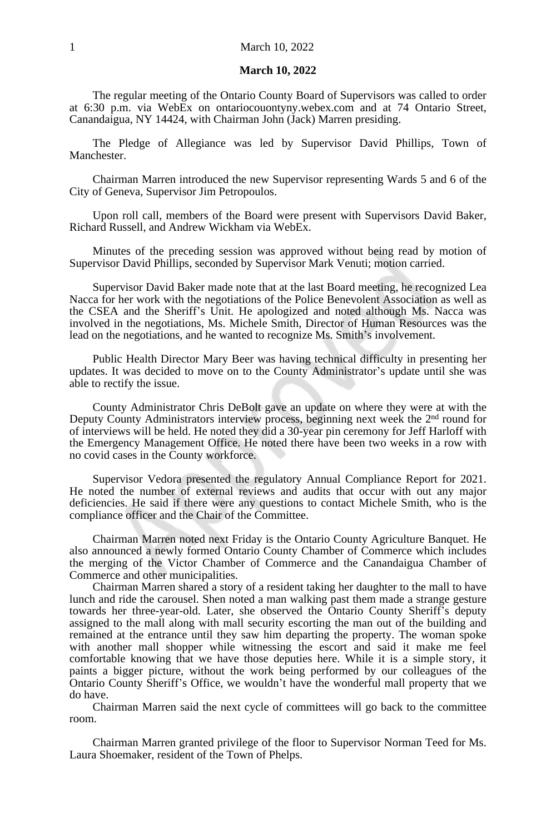#### **March 10, 2022**

The regular meeting of the Ontario County Board of Supervisors was called to order at 6:30 p.m. via WebEx on ontariocouontyny.webex.com and at 74 Ontario Street, Canandaigua, NY 14424, with Chairman John (Jack) Marren presiding.

The Pledge of Allegiance was led by Supervisor David Phillips, Town of Manchester.

Chairman Marren introduced the new Supervisor representing Wards 5 and 6 of the City of Geneva, Supervisor Jim Petropoulos.

Upon roll call, members of the Board were present with Supervisors David Baker, Richard Russell, and Andrew Wickham via WebEx.

Minutes of the preceding session was approved without being read by motion of Supervisor David Phillips, seconded by Supervisor Mark Venuti; motion carried.

Supervisor David Baker made note that at the last Board meeting, he recognized Lea Nacca for her work with the negotiations of the Police Benevolent Association as well as the CSEA and the Sheriff's Unit. He apologized and noted although Ms. Nacca was involved in the negotiations, Ms. Michele Smith, Director of Human Resources was the lead on the negotiations, and he wanted to recognize Ms. Smith's involvement.

Public Health Director Mary Beer was having technical difficulty in presenting her updates. It was decided to move on to the County Administrator's update until she was able to rectify the issue.

County Administrator Chris DeBolt gave an update on where they were at with the Deputy County Administrators interview process, beginning next week the 2<sup>nd</sup> round for of interviews will be held. He noted they did a 30-year pin ceremony for Jeff Harloff with the Emergency Management Office. He noted there have been two weeks in a row with no covid cases in the County workforce.

Supervisor Vedora presented the regulatory Annual Compliance Report for 2021. He noted the number of external reviews and audits that occur with out any major deficiencies. He said if there were any questions to contact Michele Smith, who is the compliance officer and the Chair of the Committee.

Chairman Marren noted next Friday is the Ontario County Agriculture Banquet. He also announced a newly formed Ontario County Chamber of Commerce which includes the merging of the Victor Chamber of Commerce and the Canandaigua Chamber of Commerce and other municipalities.

Chairman Marren shared a story of a resident taking her daughter to the mall to have lunch and ride the carousel. Shen noted a man walking past them made a strange gesture towards her three-year-old. Later, she observed the Ontario County Sheriff's deputy assigned to the mall along with mall security escorting the man out of the building and remained at the entrance until they saw him departing the property. The woman spoke with another mall shopper while witnessing the escort and said it make me feel comfortable knowing that we have those deputies here. While it is a simple story, it paints a bigger picture, without the work being performed by our colleagues of the Ontario County Sheriff's Office, we wouldn't have the wonderful mall property that we do have.

Chairman Marren said the next cycle of committees will go back to the committee room.

Chairman Marren granted privilege of the floor to Supervisor Norman Teed for Ms. Laura Shoemaker, resident of the Town of Phelps.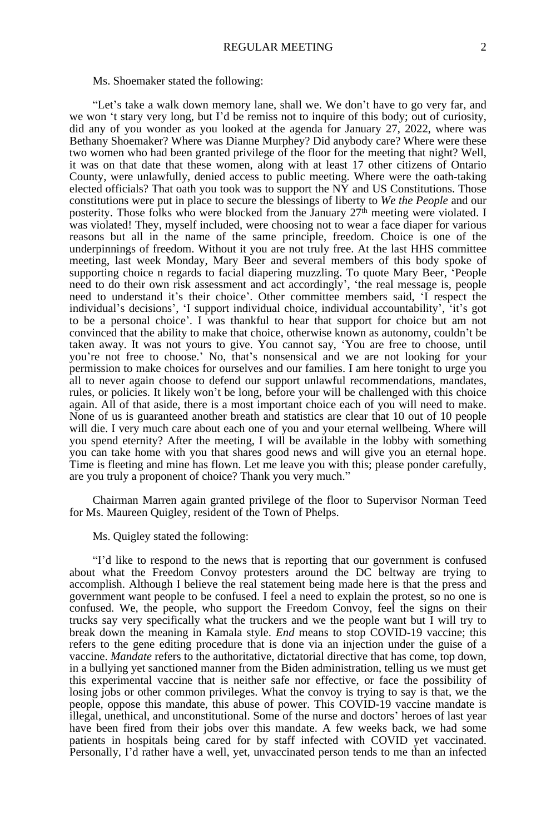#### Ms. Shoemaker stated the following:

"Let's take a walk down memory lane, shall we. We don't have to go very far, and we won 't stary very long, but I'd be remiss not to inquire of this body; out of curiosity, did any of you wonder as you looked at the agenda for January 27, 2022, where was Bethany Shoemaker? Where was Dianne Murphey? Did anybody care? Where were these two women who had been granted privilege of the floor for the meeting that night? Well, it was on that date that these women, along with at least 17 other citizens of Ontario County, were unlawfully, denied access to public meeting. Where were the oath-taking elected officials? That oath you took was to support the NY and US Constitutions. Those constitutions were put in place to secure the blessings of liberty to *We the People* and our posterity. Those folks who were blocked from the January  $27<sup>th</sup>$  meeting were violated. I was violated! They, myself included, were choosing not to wear a face diaper for various reasons but all in the name of the same principle, freedom. Choice is one of the underpinnings of freedom. Without it you are not truly free. At the last HHS committee meeting, last week Monday, Mary Beer and several members of this body spoke of supporting choice n regards to facial diapering muzzling. To quote Mary Beer, 'People need to do their own risk assessment and act accordingly', 'the real message is, people need to understand it's their choice'. Other committee members said, 'I respect the individual's decisions', 'I support individual choice, individual accountability', 'it's got to be a personal choice'. I was thankful to hear that support for choice but am not convinced that the ability to make that choice, otherwise known as autonomy, couldn't be taken away. It was not yours to give. You cannot say, 'You are free to choose, until you're not free to choose.' No, that's nonsensical and we are not looking for your permission to make choices for ourselves and our families. I am here tonight to urge you all to never again choose to defend our support unlawful recommendations, mandates, rules, or policies. It likely won't be long, before your will be challenged with this choice again. All of that aside, there is a most important choice each of you will need to make. None of us is guaranteed another breath and statistics are clear that 10 out of 10 people will die. I very much care about each one of you and your eternal wellbeing. Where will you spend eternity? After the meeting, I will be available in the lobby with something you can take home with you that shares good news and will give you an eternal hope. Time is fleeting and mine has flown. Let me leave you with this; please ponder carefully, are you truly a proponent of choice? Thank you very much."

Chairman Marren again granted privilege of the floor to Supervisor Norman Teed for Ms. Maureen Quigley, resident of the Town of Phelps.

Ms. Quigley stated the following:

"I'd like to respond to the news that is reporting that our government is confused about what the Freedom Convoy protesters around the DC beltway are trying to accomplish. Although I believe the real statement being made here is that the press and government want people to be confused. I feel a need to explain the protest, so no one is confused. We, the people, who support the Freedom Convoy, feel the signs on their trucks say very specifically what the truckers and we the people want but I will try to break down the meaning in Kamala style. *End* means to stop COVID-19 vaccine; this refers to the gene editing procedure that is done via an injection under the guise of a vaccine. *Mandate* refers to the authoritative, dictatorial directive that has come, top down, in a bullying yet sanctioned manner from the Biden administration, telling us we must get this experimental vaccine that is neither safe nor effective, or face the possibility of losing jobs or other common privileges. What the convoy is trying to say is that, we the people, oppose this mandate, this abuse of power. This COVID-19 vaccine mandate is illegal, unethical, and unconstitutional. Some of the nurse and doctors' heroes of last year have been fired from their jobs over this mandate. A few weeks back, we had some patients in hospitals being cared for by staff infected with COVID yet vaccinated. Personally, I'd rather have a well, yet, unvaccinated person tends to me than an infected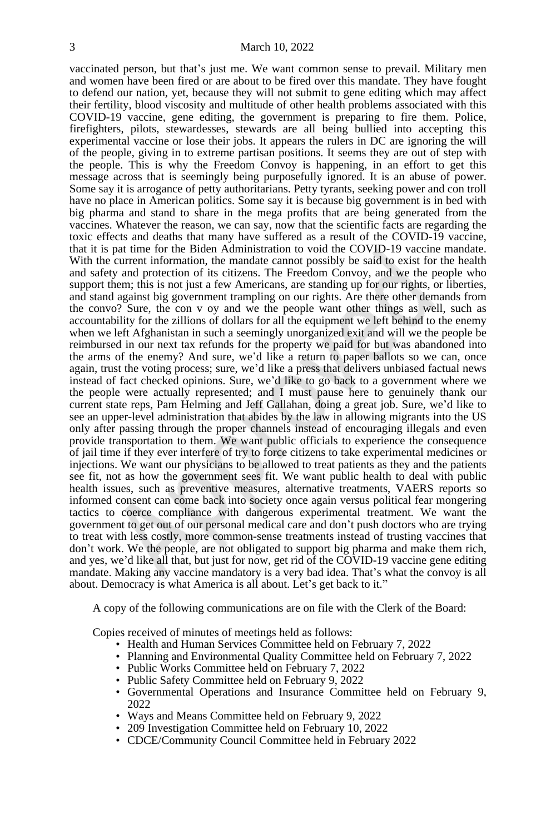vaccinated person, but that's just me. We want common sense to prevail. Military men and women have been fired or are about to be fired over this mandate. They have fought to defend our nation, yet, because they will not submit to gene editing which may affect their fertility, blood viscosity and multitude of other health problems associated with this COVID-19 vaccine, gene editing, the government is preparing to fire them. Police, firefighters, pilots, stewardesses, stewards are all being bullied into accepting this experimental vaccine or lose their jobs. It appears the rulers in DC are ignoring the will of the people, giving in to extreme partisan positions. It seems they are out of step with the people. This is why the Freedom Convoy is happening, in an effort to get this message across that is seemingly being purposefully ignored. It is an abuse of power. Some say it is arrogance of petty authoritarians. Petty tyrants, seeking power and con troll have no place in American politics. Some say it is because big government is in bed with big pharma and stand to share in the mega profits that are being generated from the vaccines. Whatever the reason, we can say, now that the scientific facts are regarding the toxic effects and deaths that many have suffered as a result of the COVID-19 vaccine, that it is pat time for the Biden Administration to void the COVID-19 vaccine mandate. With the current information, the mandate cannot possibly be said to exist for the health and safety and protection of its citizens. The Freedom Convoy, and we the people who support them; this is not just a few Americans, are standing up for our rights, or liberties, and stand against big government trampling on our rights. Are there other demands from the convo? Sure, the con v oy and we the people want other things as well, such as accountability for the zillions of dollars for all the equipment we left behind to the enemy when we left Afghanistan in such a seemingly unorganized exit and will we the people be reimbursed in our next tax refunds for the property we paid for but was abandoned into the arms of the enemy? And sure, we'd like a return to paper ballots so we can, once again, trust the voting process; sure, we'd like a press that delivers unbiased factual news instead of fact checked opinions. Sure, we'd like to go back to a government where we the people were actually represented; and I must pause here to genuinely thank our current state reps, Pam Helming and Jeff Gallahan, doing a great job. Sure, we'd like to see an upper-level administration that abides by the law in allowing migrants into the US only after passing through the proper channels instead of encouraging illegals and even provide transportation to them. We want public officials to experience the consequence of jail time if they ever interfere of try to force citizens to take experimental medicines or injections. We want our physicians to be allowed to treat patients as they and the patients see fit, not as how the government sees fit. We want public health to deal with public health issues, such as preventive measures, alternative treatments, VAERS reports so informed consent can come back into society once again versus political fear mongering tactics to coerce compliance with dangerous experimental treatment. We want the government to get out of our personal medical care and don't push doctors who are trying to treat with less costly, more common-sense treatments instead of trusting vaccines that don't work. We the people, are not obligated to support big pharma and make them rich, and yes, we'd like all that, but just for now, get rid of the COVID-19 vaccine gene editing mandate. Making any vaccine mandatory is a very bad idea. That's what the convoy is all about. Democracy is what America is all about. Let's get back to it."

A copy of the following communications are on file with the Clerk of the Board:

Copies received of minutes of meetings held as follows:

- Health and Human Services Committee held on February 7, 2022
- Planning and Environmental Quality Committee held on February 7, 2022
- Public Works Committee held on February 7, 2022
- Public Safety Committee held on February 9, 2022
- Governmental Operations and Insurance Committee held on February 9, 2022
- Ways and Means Committee held on February 9, 2022
- 209 Investigation Committee held on February 10, 2022
- CDCE/Community Council Committee held in February 2022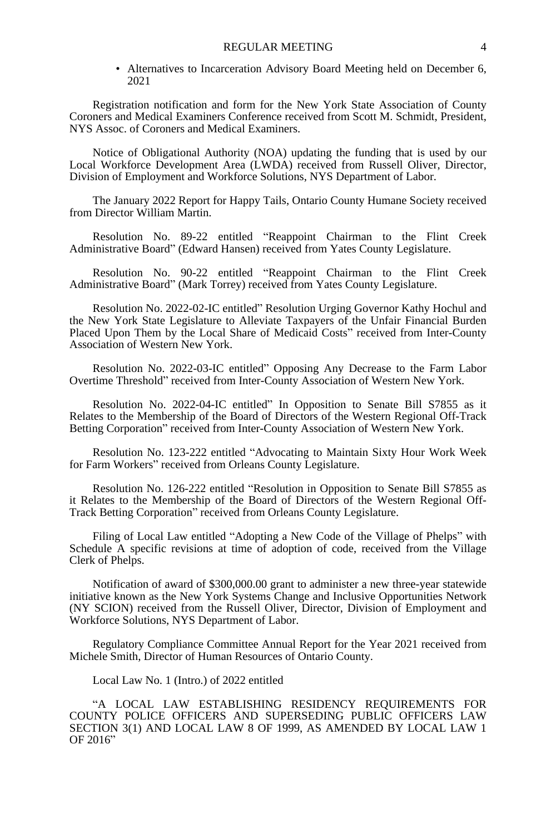• Alternatives to Incarceration Advisory Board Meeting held on December 6, 2021

Registration notification and form for the New York State Association of County Coroners and Medical Examiners Conference received from Scott M. Schmidt, President, NYS Assoc. of Coroners and Medical Examiners.

Notice of Obligational Authority (NOA) updating the funding that is used by our Local Workforce Development Area (LWDA) received from Russell Oliver, Director, Division of Employment and Workforce Solutions, NYS Department of Labor.

The January 2022 Report for Happy Tails, Ontario County Humane Society received from Director William Martin.

Resolution No. 89-22 entitled "Reappoint Chairman to the Flint Creek Administrative Board" (Edward Hansen) received from Yates County Legislature.

Resolution No. 90-22 entitled "Reappoint Chairman to the Flint Creek Administrative Board" (Mark Torrey) received from Yates County Legislature.

Resolution No. 2022-02-IC entitled" Resolution Urging Governor Kathy Hochul and the New York State Legislature to Alleviate Taxpayers of the Unfair Financial Burden Placed Upon Them by the Local Share of Medicaid Costs" received from Inter-County Association of Western New York.

Resolution No. 2022-03-IC entitled" Opposing Any Decrease to the Farm Labor Overtime Threshold" received from Inter-County Association of Western New York.

Resolution No. 2022-04-IC entitled" In Opposition to Senate Bill S7855 as it Relates to the Membership of the Board of Directors of the Western Regional Off-Track Betting Corporation" received from Inter-County Association of Western New York.

Resolution No. 123-222 entitled "Advocating to Maintain Sixty Hour Work Week for Farm Workers" received from Orleans County Legislature.

Resolution No. 126-222 entitled "Resolution in Opposition to Senate Bill S7855 as it Relates to the Membership of the Board of Directors of the Western Regional Off-Track Betting Corporation" received from Orleans County Legislature.

Filing of Local Law entitled "Adopting a New Code of the Village of Phelps" with Schedule A specific revisions at time of adoption of code, received from the Village Clerk of Phelps.

Notification of award of \$300,000.00 grant to administer a new three-year statewide initiative known as the New York Systems Change and Inclusive Opportunities Network (NY SCION) received from the Russell Oliver, Director, Division of Employment and Workforce Solutions, NYS Department of Labor.

Regulatory Compliance Committee Annual Report for the Year 2021 received from Michele Smith, Director of Human Resources of Ontario County.

Local Law No. 1 (Intro.) of 2022 entitled

"A LOCAL LAW ESTABLISHING RESIDENCY REQUIREMENTS FOR COUNTY POLICE OFFICERS AND SUPERSEDING PUBLIC OFFICERS LAW SECTION 3(1) AND LOCAL LAW 8 OF 1999, AS AMENDED BY LOCAL LAW 1 OF 2016"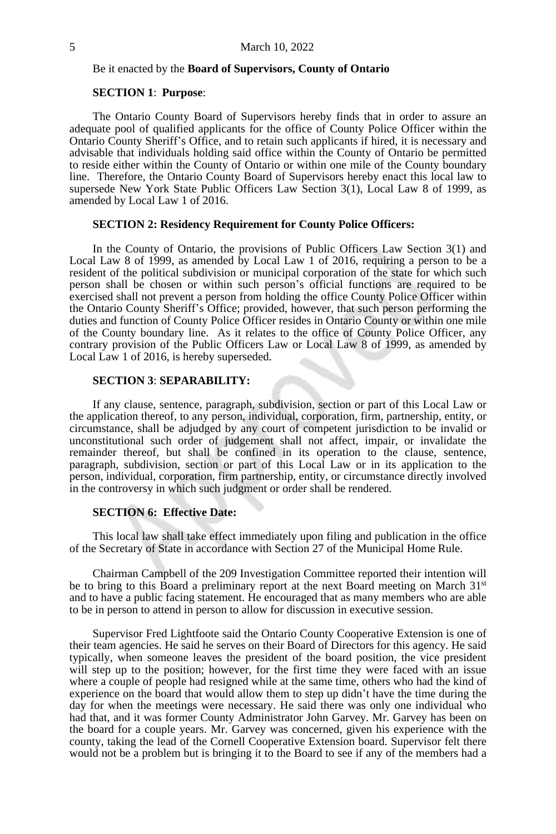#### Be it enacted by the **Board of Supervisors, County of Ontario**

#### **SECTION 1**: **Purpose**:

The Ontario County Board of Supervisors hereby finds that in order to assure an adequate pool of qualified applicants for the office of County Police Officer within the Ontario County Sheriff's Office, and to retain such applicants if hired, it is necessary and advisable that individuals holding said office within the County of Ontario be permitted to reside either within the County of Ontario or within one mile of the County boundary line. Therefore, the Ontario County Board of Supervisors hereby enact this local law to supersede New York State Public Officers Law Section 3(1), Local Law 8 of 1999, as amended by Local Law 1 of 2016.

#### **SECTION 2: Residency Requirement for County Police Officers:**

In the County of Ontario, the provisions of Public Officers Law Section 3(1) and Local Law 8 of 1999, as amended by Local Law 1 of 2016, requiring a person to be a resident of the political subdivision or municipal corporation of the state for which such person shall be chosen or within such person's official functions are required to be exercised shall not prevent a person from holding the office County Police Officer within the Ontario County Sheriff's Office; provided, however, that such person performing the duties and function of County Police Officer resides in Ontario County or within one mile of the County boundary line. As it relates to the office of County Police Officer, any contrary provision of the Public Officers Law or Local Law 8 of 1999, as amended by Local Law 1 of 2016, is hereby superseded.

## **SECTION 3**: **SEPARABILITY:**

If any clause, sentence, paragraph, subdivision, section or part of this Local Law or the application thereof, to any person, individual, corporation, firm, partnership, entity, or circumstance, shall be adjudged by any court of competent jurisdiction to be invalid or unconstitutional such order of judgement shall not affect, impair, or invalidate the remainder thereof, but shall be confined in its operation to the clause, sentence, paragraph, subdivision, section or part of this Local Law or in its application to the person, individual, corporation, firm partnership, entity, or circumstance directly involved in the controversy in which such judgment or order shall be rendered.

#### **SECTION 6: Effective Date:**

This local law shall take effect immediately upon filing and publication in the office of the Secretary of State in accordance with Section 27 of the Municipal Home Rule.

Chairman Campbell of the 209 Investigation Committee reported their intention will be to bring to this Board a preliminary report at the next Board meeting on March  $31<sup>st</sup>$ and to have a public facing statement. He encouraged that as many members who are able to be in person to attend in person to allow for discussion in executive session.

Supervisor Fred Lightfoote said the Ontario County Cooperative Extension is one of their team agencies. He said he serves on their Board of Directors for this agency. He said typically, when someone leaves the president of the board position, the vice president will step up to the position; however, for the first time they were faced with an issue where a couple of people had resigned while at the same time, others who had the kind of experience on the board that would allow them to step up didn't have the time during the day for when the meetings were necessary. He said there was only one individual who had that, and it was former County Administrator John Garvey. Mr. Garvey has been on the board for a couple years. Mr. Garvey was concerned, given his experience with the county, taking the lead of the Cornell Cooperative Extension board. Supervisor felt there would not be a problem but is bringing it to the Board to see if any of the members had a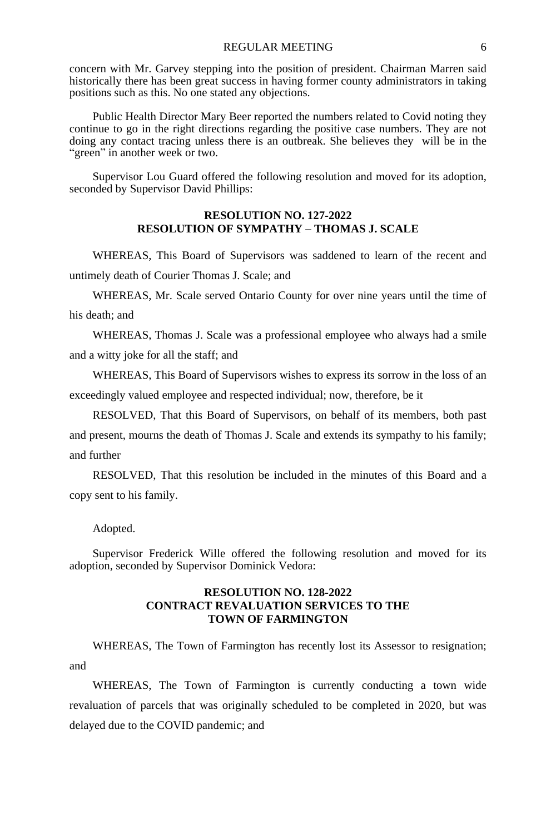concern with Mr. Garvey stepping into the position of president. Chairman Marren said historically there has been great success in having former county administrators in taking positions such as this. No one stated any objections.

Public Health Director Mary Beer reported the numbers related to Covid noting they continue to go in the right directions regarding the positive case numbers. They are not doing any contact tracing unless there is an outbreak. She believes they will be in the "green" in another week or two.

Supervisor Lou Guard offered the following resolution and moved for its adoption, seconded by Supervisor David Phillips:

#### **RESOLUTION NO. 127-2022 RESOLUTION OF SYMPATHY – THOMAS J. SCALE**

WHEREAS, This Board of Supervisors was saddened to learn of the recent and untimely death of Courier Thomas J. Scale; and

WHEREAS, Mr. Scale served Ontario County for over nine years until the time of his death; and

WHEREAS, Thomas J. Scale was a professional employee who always had a smile and a witty joke for all the staff; and

WHEREAS, This Board of Supervisors wishes to express its sorrow in the loss of an exceedingly valued employee and respected individual; now, therefore, be it

RESOLVED, That this Board of Supervisors, on behalf of its members, both past and present, mourns the death of Thomas J. Scale and extends its sympathy to his family; and further

RESOLVED, That this resolution be included in the minutes of this Board and a copy sent to his family.

Adopted.

Supervisor Frederick Wille offered the following resolution and moved for its adoption, seconded by Supervisor Dominick Vedora:

#### **RESOLUTION NO. 128-2022 CONTRACT REVALUATION SERVICES TO THE TOWN OF FARMINGTON**

WHEREAS, The Town of Farmington has recently lost its Assessor to resignation; and

WHEREAS, The Town of Farmington is currently conducting a town wide revaluation of parcels that was originally scheduled to be completed in 2020, but was delayed due to the COVID pandemic; and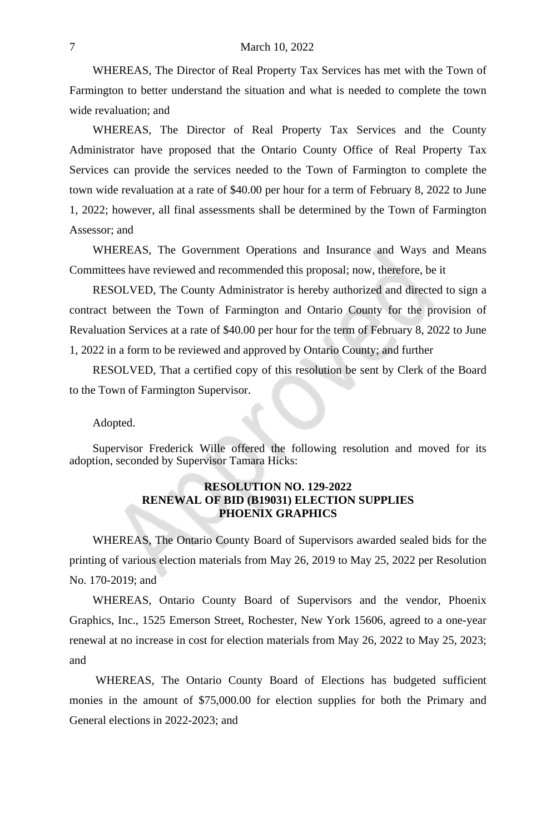WHEREAS, The Director of Real Property Tax Services has met with the Town of Farmington to better understand the situation and what is needed to complete the town wide revaluation; and

WHEREAS, The Director of Real Property Tax Services and the County Administrator have proposed that the Ontario County Office of Real Property Tax Services can provide the services needed to the Town of Farmington to complete the town wide revaluation at a rate of \$40.00 per hour for a term of February 8, 2022 to June 1, 2022; however, all final assessments shall be determined by the Town of Farmington Assessor; and

WHEREAS, The Government Operations and Insurance and Ways and Means Committees have reviewed and recommended this proposal; now, therefore, be it

RESOLVED, The County Administrator is hereby authorized and directed to sign a contract between the Town of Farmington and Ontario County for the provision of Revaluation Services at a rate of \$40.00 per hour for the term of February 8, 2022 to June 1, 2022 in a form to be reviewed and approved by Ontario County; and further

RESOLVED, That a certified copy of this resolution be sent by Clerk of the Board to the Town of Farmington Supervisor.

Adopted.

Supervisor Frederick Wille offered the following resolution and moved for its adoption, seconded by Supervisor Tamara Hicks:

## **RESOLUTION NO. 129-2022 RENEWAL OF BID (B19031) ELECTION SUPPLIES PHOENIX GRAPHICS**

WHEREAS, The Ontario County Board of Supervisors awarded sealed bids for the printing of various election materials from May 26, 2019 to May 25, 2022 per Resolution No. 170-2019; and

WHEREAS, Ontario County Board of Supervisors and the vendor, Phoenix Graphics, Inc., 1525 Emerson Street, Rochester, New York 15606, agreed to a one-year renewal at no increase in cost for election materials from May 26, 2022 to May 25, 2023; and

WHEREAS, The Ontario County Board of Elections has budgeted sufficient monies in the amount of \$75,000.00 for election supplies for both the Primary and General elections in 2022-2023; and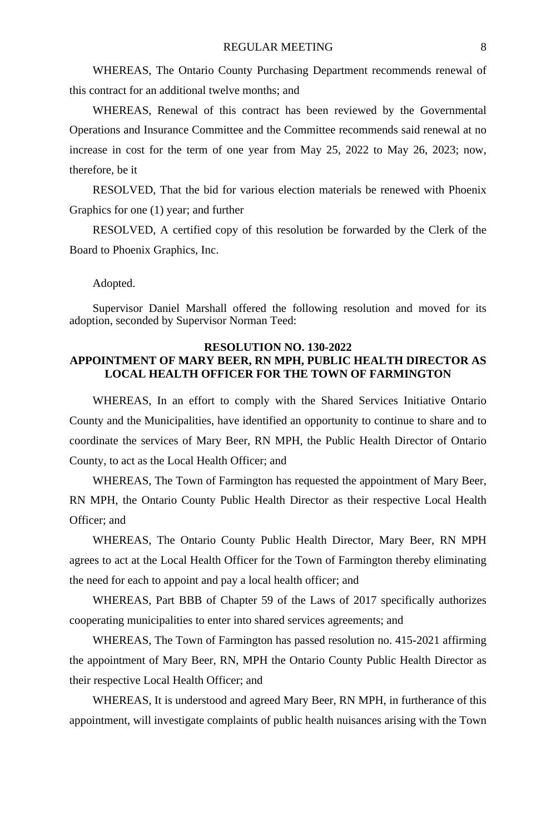WHEREAS, The Ontario County Purchasing Department recommends renewal of this contract for an additional twelve months; and

WHEREAS, Renewal of this contract has been reviewed by the Governmental Operations and Insurance Committee and the Committee recommends said renewal at no increase in cost for the term of one year from May 25, 2022 to May 26, 2023; now, therefore, be it

RESOLVED, That the bid for various election materials be renewed with Phoenix Graphics for one (1) year; and further

RESOLVED, A certified copy of this resolution be forwarded by the Clerk of the Board to Phoenix Graphics, Inc.

Adopted.

Supervisor Daniel Marshall offered the following resolution and moved for its adoption, seconded by Supervisor Norman Teed:

## **RESOLUTION NO. 130-2022 APPOINTMENT OF MARY BEER, RN MPH, PUBLIC HEALTH DIRECTOR AS LOCAL HEALTH OFFICER FOR THE TOWN OF FARMINGTON**

WHEREAS, In an effort to comply with the Shared Services Initiative Ontario County and the Municipalities, have identified an opportunity to continue to share and to coordinate the services of Mary Beer, RN MPH, the Public Health Director of Ontario County, to act as the Local Health Officer; and

WHEREAS, The Town of Farmington has requested the appointment of Mary Beer, RN MPH, the Ontario County Public Health Director as their respective Local Health Officer; and

WHEREAS, The Ontario County Public Health Director, Mary Beer, RN MPH agrees to act at the Local Health Officer for the Town of Farmington thereby eliminating the need for each to appoint and pay a local health officer; and

WHEREAS, Part BBB of Chapter 59 of the Laws of 2017 specifically authorizes cooperating municipalities to enter into shared services agreements; and

WHEREAS, The Town of Farmington has passed resolution no. 415-2021 affirming the appointment of Mary Beer, RN, MPH the Ontario County Public Health Director as their respective Local Health Officer; and

WHEREAS, It is understood and agreed Mary Beer, RN MPH, in furtherance of this appointment, will investigate complaints of public health nuisances arising with the Town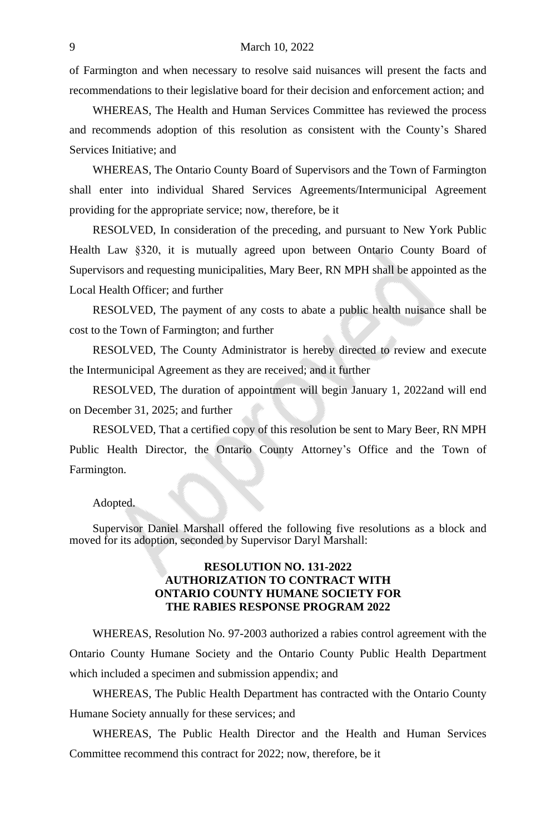of Farmington and when necessary to resolve said nuisances will present the facts and recommendations to their legislative board for their decision and enforcement action; and

WHEREAS, The Health and Human Services Committee has reviewed the process and recommends adoption of this resolution as consistent with the County's Shared Services Initiative; and

WHEREAS, The Ontario County Board of Supervisors and the Town of Farmington shall enter into individual Shared Services Agreements/Intermunicipal Agreement providing for the appropriate service; now, therefore, be it

RESOLVED, In consideration of the preceding, and pursuant to New York Public Health Law §320, it is mutually agreed upon between Ontario County Board of Supervisors and requesting municipalities, Mary Beer, RN MPH shall be appointed as the Local Health Officer; and further

RESOLVED, The payment of any costs to abate a public health nuisance shall be cost to the Town of Farmington; and further

RESOLVED, The County Administrator is hereby directed to review and execute the Intermunicipal Agreement as they are received; and it further

RESOLVED, The duration of appointment will begin January 1, 2022and will end on December 31, 2025; and further

RESOLVED, That a certified copy of this resolution be sent to Mary Beer, RN MPH Public Health Director, the Ontario County Attorney's Office and the Town of Farmington.

#### Adopted.

Supervisor Daniel Marshall offered the following five resolutions as a block and moved for its adoption, seconded by Supervisor Daryl Marshall:

# **RESOLUTION NO. 131-2022 AUTHORIZATION TO CONTRACT WITH ONTARIO COUNTY HUMANE SOCIETY FOR THE RABIES RESPONSE PROGRAM 2022**

WHEREAS, Resolution No. 97-2003 authorized a rabies control agreement with the Ontario County Humane Society and the Ontario County Public Health Department which included a specimen and submission appendix; and

WHEREAS, The Public Health Department has contracted with the Ontario County Humane Society annually for these services; and

WHEREAS, The Public Health Director and the Health and Human Services Committee recommend this contract for 2022; now, therefore, be it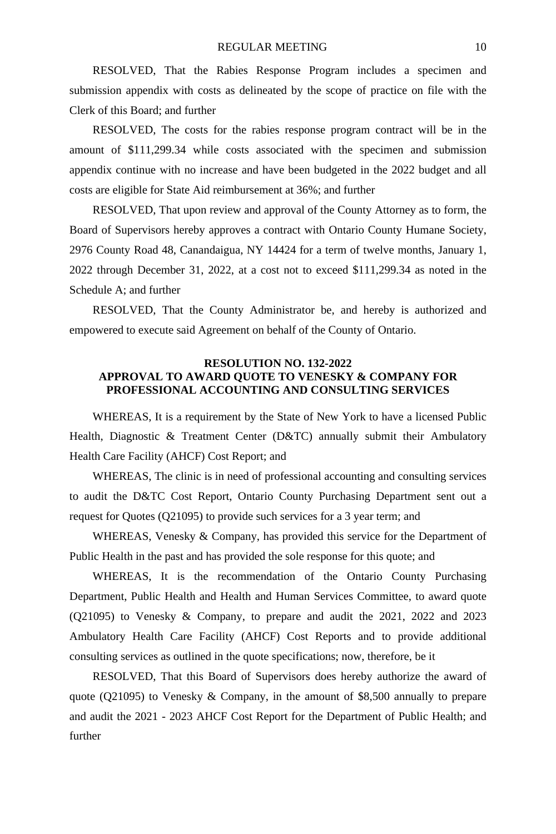RESOLVED, That the Rabies Response Program includes a specimen and submission appendix with costs as delineated by the scope of practice on file with the Clerk of this Board; and further

RESOLVED, The costs for the rabies response program contract will be in the amount of \$111,299.34 while costs associated with the specimen and submission appendix continue with no increase and have been budgeted in the 2022 budget and all costs are eligible for State Aid reimbursement at 36%; and further

RESOLVED, That upon review and approval of the County Attorney as to form, the Board of Supervisors hereby approves a contract with Ontario County Humane Society, 2976 County Road 48, Canandaigua, NY 14424 for a term of twelve months, January 1, 2022 through December 31, 2022, at a cost not to exceed \$111,299.34 as noted in the Schedule A; and further

RESOLVED, That the County Administrator be, and hereby is authorized and empowered to execute said Agreement on behalf of the County of Ontario.

# **RESOLUTION NO. 132-2022 APPROVAL TO AWARD QUOTE TO VENESKY & COMPANY FOR PROFESSIONAL ACCOUNTING AND CONSULTING SERVICES**

WHEREAS, It is a requirement by the State of New York to have a licensed Public Health, Diagnostic & Treatment Center (D&TC) annually submit their Ambulatory Health Care Facility (AHCF) Cost Report; and

WHEREAS, The clinic is in need of professional accounting and consulting services to audit the D&TC Cost Report, Ontario County Purchasing Department sent out a request for Quotes (Q21095) to provide such services for a 3 year term; and

WHEREAS, Venesky & Company, has provided this service for the Department of Public Health in the past and has provided the sole response for this quote; and

WHEREAS, It is the recommendation of the Ontario County Purchasing Department, Public Health and Health and Human Services Committee, to award quote (Q21095) to Venesky & Company, to prepare and audit the 2021, 2022 and 2023 Ambulatory Health Care Facility (AHCF) Cost Reports and to provide additional consulting services as outlined in the quote specifications; now, therefore, be it

RESOLVED, That this Board of Supervisors does hereby authorize the award of quote (Q21095) to Venesky & Company, in the amount of \$8,500 annually to prepare and audit the 2021 - 2023 AHCF Cost Report for the Department of Public Health; and further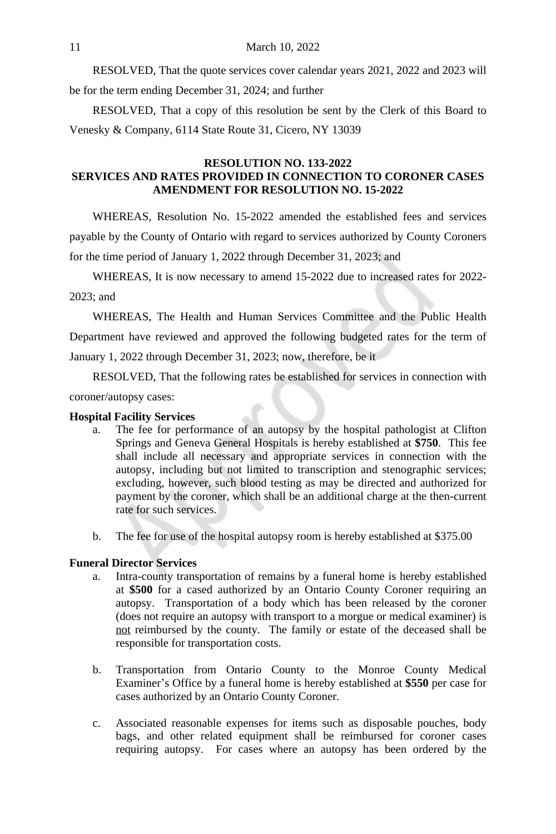RESOLVED, That the quote services cover calendar years 2021, 2022 and 2023 will be for the term ending December 31, 2024; and further

RESOLVED, That a copy of this resolution be sent by the Clerk of this Board to Venesky & Company, 6114 State Route 31, Cicero, NY 13039

# **RESOLUTION NO. 133-2022 SERVICES AND RATES PROVIDED IN CONNECTION TO CORONER CASES AMENDMENT FOR RESOLUTION NO. 15-2022**

WHEREAS, Resolution No. 15-2022 amended the established fees and services payable by the County of Ontario with regard to services authorized by County Coroners for the time period of January 1, 2022 through December 31, 2023; and

WHEREAS, It is now necessary to amend 15-2022 due to increased rates for 2022- 2023; and

WHEREAS, The Health and Human Services Committee and the Public Health Department have reviewed and approved the following budgeted rates for the term of January 1, 2022 through December 31, 2023; now, therefore, be it

RESOLVED, That the following rates be established for services in connection with coroner/autopsy cases:

#### **Hospital Facility Services**

- a. The fee for performance of an autopsy by the hospital pathologist at Clifton Springs and Geneva General Hospitals is hereby established at **\$750**. This fee shall include all necessary and appropriate services in connection with the autopsy, including but not limited to transcription and stenographic services; excluding, however, such blood testing as may be directed and authorized for payment by the coroner, which shall be an additional charge at the then-current rate for such services.
- b. The fee for use of the hospital autopsy room is hereby established at \$375.00

# **Funeral Director Services**

- a. Intra-county transportation of remains by a funeral home is hereby established at **\$500** for a cased authorized by an Ontario County Coroner requiring an autopsy. Transportation of a body which has been released by the coroner (does not require an autopsy with transport to a morgue or medical examiner) is not reimbursed by the county. The family or estate of the deceased shall be responsible for transportation costs.
- b. Transportation from Ontario County to the Monroe County Medical Examiner's Office by a funeral home is hereby established at **\$550** per case for cases authorized by an Ontario County Coroner.
- c. Associated reasonable expenses for items such as disposable pouches, body bags, and other related equipment shall be reimbursed for coroner cases requiring autopsy. For cases where an autopsy has been ordered by the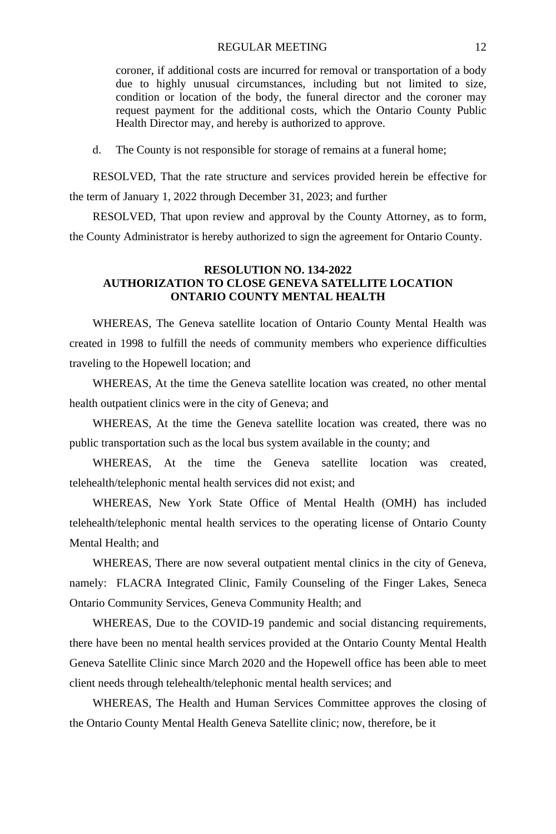#### REGULAR MEETING 12

coroner, if additional costs are incurred for removal or transportation of a body due to highly unusual circumstances, including but not limited to size, condition or location of the body, the funeral director and the coroner may request payment for the additional costs, which the Ontario County Public Health Director may, and hereby is authorized to approve.

d. The County is not responsible for storage of remains at a funeral home;

RESOLVED, That the rate structure and services provided herein be effective for the term of January 1, 2022 through December 31, 2023; and further

RESOLVED, That upon review and approval by the County Attorney, as to form, the County Administrator is hereby authorized to sign the agreement for Ontario County.

### **RESOLUTION NO. 134-2022 AUTHORIZATION TO CLOSE GENEVA SATELLITE LOCATION ONTARIO COUNTY MENTAL HEALTH**

WHEREAS, The Geneva satellite location of Ontario County Mental Health was created in 1998 to fulfill the needs of community members who experience difficulties traveling to the Hopewell location; and

WHEREAS, At the time the Geneva satellite location was created, no other mental health outpatient clinics were in the city of Geneva; and

WHEREAS, At the time the Geneva satellite location was created, there was no public transportation such as the local bus system available in the county; and

WHEREAS, At the time the Geneva satellite location was created, telehealth/telephonic mental health services did not exist; and

WHEREAS, New York State Office of Mental Health (OMH) has included telehealth/telephonic mental health services to the operating license of Ontario County Mental Health; and

WHEREAS, There are now several outpatient mental clinics in the city of Geneva, namely: FLACRA Integrated Clinic, Family Counseling of the Finger Lakes, Seneca Ontario Community Services, Geneva Community Health; and

WHEREAS, Due to the COVID-19 pandemic and social distancing requirements, there have been no mental health services provided at the Ontario County Mental Health Geneva Satellite Clinic since March 2020 and the Hopewell office has been able to meet client needs through telehealth/telephonic mental health services; and

WHEREAS, The Health and Human Services Committee approves the closing of the Ontario County Mental Health Geneva Satellite clinic; now, therefore, be it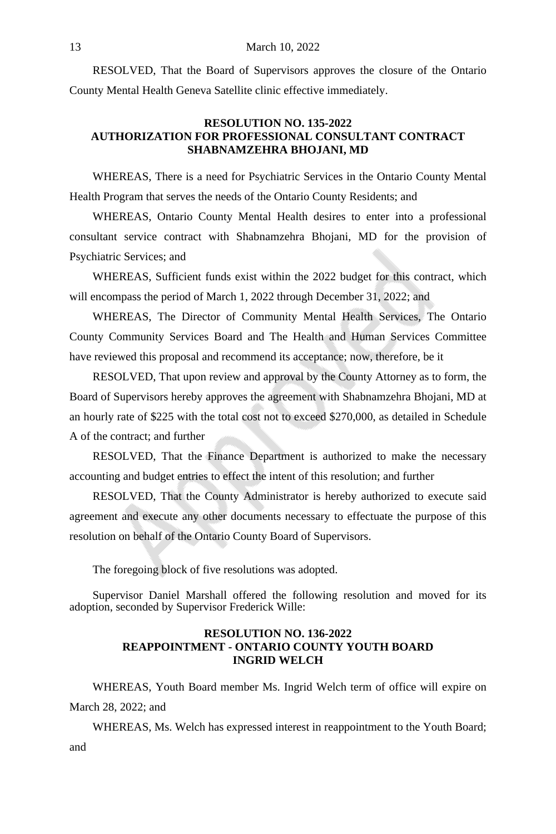RESOLVED, That the Board of Supervisors approves the closure of the Ontario County Mental Health Geneva Satellite clinic effective immediately.

#### **RESOLUTION NO. 135-2022 AUTHORIZATION FOR PROFESSIONAL CONSULTANT CONTRACT SHABNAMZEHRA BHOJANI, MD**

WHEREAS, There is a need for Psychiatric Services in the Ontario County Mental Health Program that serves the needs of the Ontario County Residents; and

WHEREAS, Ontario County Mental Health desires to enter into a professional consultant service contract with Shabnamzehra Bhojani, MD for the provision of Psychiatric Services; and

WHEREAS, Sufficient funds exist within the 2022 budget for this contract, which will encompass the period of March 1, 2022 through December 31, 2022; and

WHEREAS, The Director of Community Mental Health Services, The Ontario County Community Services Board and The Health and Human Services Committee have reviewed this proposal and recommend its acceptance; now, therefore, be it

RESOLVED, That upon review and approval by the County Attorney as to form, the Board of Supervisors hereby approves the agreement with Shabnamzehra Bhojani, MD at an hourly rate of \$225 with the total cost not to exceed \$270,000, as detailed in Schedule A of the contract; and further

RESOLVED, That the Finance Department is authorized to make the necessary accounting and budget entries to effect the intent of this resolution; and further

RESOLVED, That the County Administrator is hereby authorized to execute said agreement and execute any other documents necessary to effectuate the purpose of this resolution on behalf of the Ontario County Board of Supervisors.

The foregoing block of five resolutions was adopted.

Supervisor Daniel Marshall offered the following resolution and moved for its adoption, seconded by Supervisor Frederick Wille:

# **RESOLUTION NO. 136-2022 REAPPOINTMENT - ONTARIO COUNTY YOUTH BOARD INGRID WELCH**

WHEREAS, Youth Board member Ms. Ingrid Welch term of office will expire on March 28, 2022; and

WHEREAS, Ms. Welch has expressed interest in reappointment to the Youth Board; and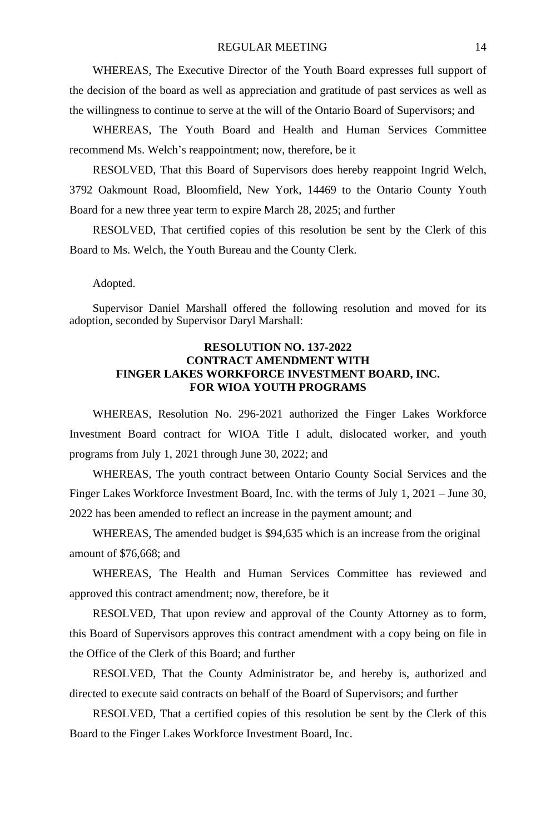WHEREAS, The Executive Director of the Youth Board expresses full support of the decision of the board as well as appreciation and gratitude of past services as well as the willingness to continue to serve at the will of the Ontario Board of Supervisors; and

WHEREAS, The Youth Board and Health and Human Services Committee recommend Ms. Welch's reappointment; now, therefore, be it

RESOLVED, That this Board of Supervisors does hereby reappoint Ingrid Welch, 3792 Oakmount Road, Bloomfield, New York, 14469 to the Ontario County Youth Board for a new three year term to expire March 28, 2025; and further

RESOLVED, That certified copies of this resolution be sent by the Clerk of this Board to Ms. Welch, the Youth Bureau and the County Clerk.

Adopted.

Supervisor Daniel Marshall offered the following resolution and moved for its adoption, seconded by Supervisor Daryl Marshall:

# **RESOLUTION NO. 137-2022 CONTRACT AMENDMENT WITH FINGER LAKES WORKFORCE INVESTMENT BOARD, INC. FOR WIOA YOUTH PROGRAMS**

WHEREAS, Resolution No. 296-2021 authorized the Finger Lakes Workforce Investment Board contract for WIOA Title I adult, dislocated worker, and youth programs from July 1, 2021 through June 30, 2022; and

WHEREAS, The youth contract between Ontario County Social Services and the Finger Lakes Workforce Investment Board, Inc. with the terms of July 1, 2021 – June 30, 2022 has been amended to reflect an increase in the payment amount; and

WHEREAS, The amended budget is \$94,635 which is an increase from the original amount of \$76,668; and

WHEREAS, The Health and Human Services Committee has reviewed and approved this contract amendment; now, therefore, be it

RESOLVED, That upon review and approval of the County Attorney as to form, this Board of Supervisors approves this contract amendment with a copy being on file in the Office of the Clerk of this Board; and further

RESOLVED, That the County Administrator be, and hereby is, authorized and directed to execute said contracts on behalf of the Board of Supervisors; and further

RESOLVED, That a certified copies of this resolution be sent by the Clerk of this Board to the Finger Lakes Workforce Investment Board, Inc.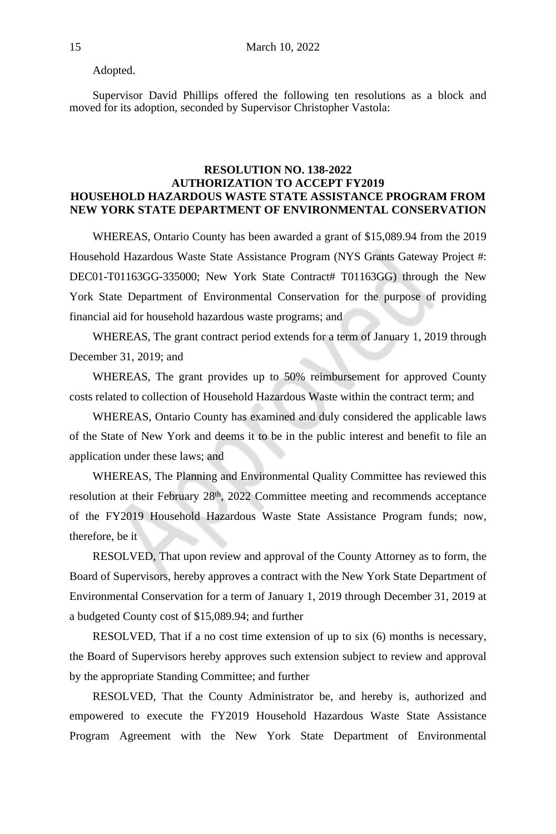Adopted.

Supervisor David Phillips offered the following ten resolutions as a block and moved for its adoption, seconded by Supervisor Christopher Vastola:

# **RESOLUTION NO. 138-2022 AUTHORIZATION TO ACCEPT FY2019 HOUSEHOLD HAZARDOUS WASTE STATE ASSISTANCE PROGRAM FROM NEW YORK STATE DEPARTMENT OF ENVIRONMENTAL CONSERVATION**

WHEREAS, Ontario County has been awarded a grant of \$15,089.94 from the 2019 Household Hazardous Waste State Assistance Program (NYS Grants Gateway Project #: DEC01-T01163GG-335000; New York State Contract# T01163GG) through the New York State Department of Environmental Conservation for the purpose of providing financial aid for household hazardous waste programs; and

WHEREAS, The grant contract period extends for a term of January 1, 2019 through December 31, 2019; and

WHEREAS, The grant provides up to 50% reimbursement for approved County costs related to collection of Household Hazardous Waste within the contract term; and

WHEREAS, Ontario County has examined and duly considered the applicable laws of the State of New York and deems it to be in the public interest and benefit to file an application under these laws; and

WHEREAS, The Planning and Environmental Quality Committee has reviewed this resolution at their February 28<sup>th</sup>, 2022 Committee meeting and recommends acceptance of the FY2019 Household Hazardous Waste State Assistance Program funds; now, therefore, be it

RESOLVED, That upon review and approval of the County Attorney as to form, the Board of Supervisors, hereby approves a contract with the New York State Department of Environmental Conservation for a term of January 1, 2019 through December 31, 2019 at a budgeted County cost of \$15,089.94; and further

RESOLVED, That if a no cost time extension of up to six (6) months is necessary, the Board of Supervisors hereby approves such extension subject to review and approval by the appropriate Standing Committee; and further

RESOLVED, That the County Administrator be, and hereby is, authorized and empowered to execute the FY2019 Household Hazardous Waste State Assistance Program Agreement with the New York State Department of Environmental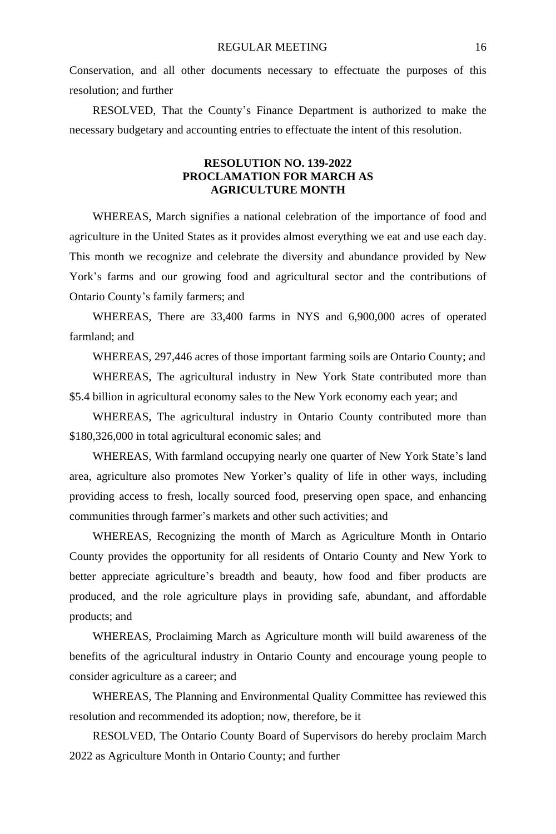Conservation, and all other documents necessary to effectuate the purposes of this resolution; and further

RESOLVED, That the County's Finance Department is authorized to make the necessary budgetary and accounting entries to effectuate the intent of this resolution.

## **RESOLUTION NO. 139-2022 PROCLAMATION FOR MARCH AS AGRICULTURE MONTH**

WHEREAS, March signifies a national celebration of the importance of food and agriculture in the United States as it provides almost everything we eat and use each day. This month we recognize and celebrate the diversity and abundance provided by New York's farms and our growing food and agricultural sector and the contributions of Ontario County's family farmers; and

WHEREAS, There are 33,400 farms in NYS and 6,900,000 acres of operated farmland; and

WHEREAS, 297,446 acres of those important farming soils are Ontario County; and

WHEREAS, The agricultural industry in New York State contributed more than \$5.4 billion in agricultural economy sales to the New York economy each year; and

WHEREAS, The agricultural industry in Ontario County contributed more than \$180,326,000 in total agricultural economic sales; and

WHEREAS, With farmland occupying nearly one quarter of New York State's land area, agriculture also promotes New Yorker's quality of life in other ways, including providing access to fresh, locally sourced food, preserving open space, and enhancing communities through farmer's markets and other such activities; and

WHEREAS, Recognizing the month of March as Agriculture Month in Ontario County provides the opportunity for all residents of Ontario County and New York to better appreciate agriculture's breadth and beauty, how food and fiber products are produced, and the role agriculture plays in providing safe, abundant, and affordable products; and

WHEREAS, Proclaiming March as Agriculture month will build awareness of the benefits of the agricultural industry in Ontario County and encourage young people to consider agriculture as a career; and

WHEREAS, The Planning and Environmental Quality Committee has reviewed this resolution and recommended its adoption; now, therefore, be it

RESOLVED, The Ontario County Board of Supervisors do hereby proclaim March 2022 as Agriculture Month in Ontario County; and further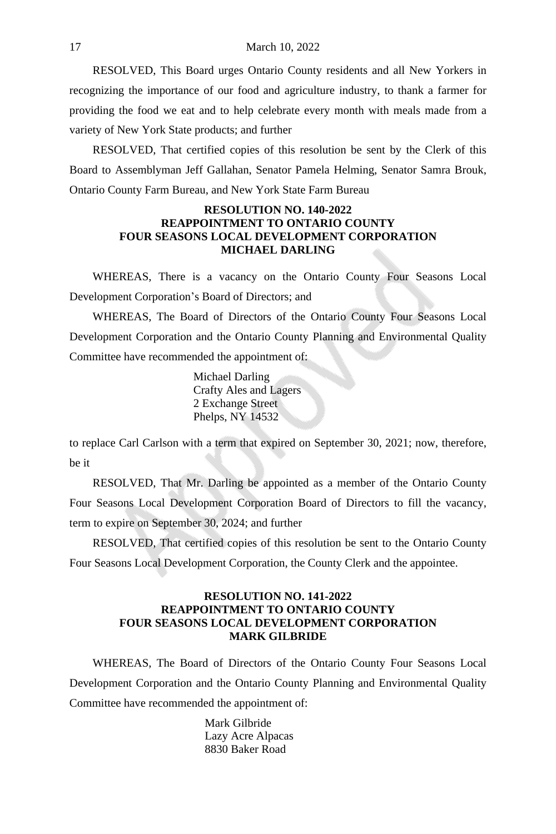RESOLVED, This Board urges Ontario County residents and all New Yorkers in recognizing the importance of our food and agriculture industry, to thank a farmer for providing the food we eat and to help celebrate every month with meals made from a variety of New York State products; and further

RESOLVED, That certified copies of this resolution be sent by the Clerk of this Board to Assemblyman Jeff Gallahan, Senator Pamela Helming, Senator Samra Brouk, Ontario County Farm Bureau, and New York State Farm Bureau

### **RESOLUTION NO. 140-2022 REAPPOINTMENT TO ONTARIO COUNTY FOUR SEASONS LOCAL DEVELOPMENT CORPORATION MICHAEL DARLING**

WHEREAS, There is a vacancy on the Ontario County Four Seasons Local Development Corporation's Board of Directors; and

WHEREAS, The Board of Directors of the Ontario County Four Seasons Local Development Corporation and the Ontario County Planning and Environmental Quality Committee have recommended the appointment of:

> Michael Darling Crafty Ales and Lagers 2 Exchange Street Phelps, NY 14532

to replace Carl Carlson with a term that expired on September 30, 2021; now, therefore, be it

RESOLVED, That Mr. Darling be appointed as a member of the Ontario County Four Seasons Local Development Corporation Board of Directors to fill the vacancy, term to expire on September 30, 2024; and further

RESOLVED, That certified copies of this resolution be sent to the Ontario County Four Seasons Local Development Corporation, the County Clerk and the appointee.

# **RESOLUTION NO. 141-2022 REAPPOINTMENT TO ONTARIO COUNTY FOUR SEASONS LOCAL DEVELOPMENT CORPORATION MARK GILBRIDE**

WHEREAS, The Board of Directors of the Ontario County Four Seasons Local Development Corporation and the Ontario County Planning and Environmental Quality Committee have recommended the appointment of:

> Mark Gilbride Lazy Acre Alpacas 8830 Baker Road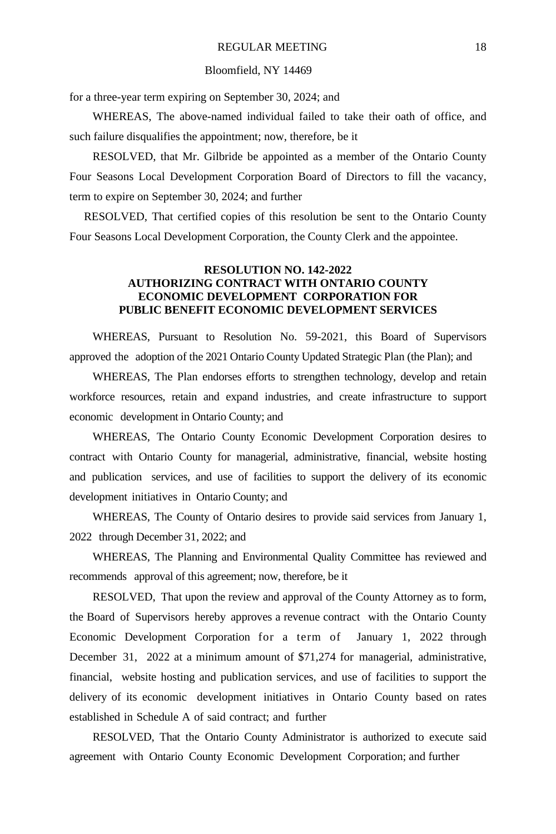#### Bloomfield, NY 14469

for a three-year term expiring on September 30, 2024; and

WHEREAS, The above-named individual failed to take their oath of office, and such failure disqualifies the appointment; now, therefore, be it

RESOLVED, that Mr. Gilbride be appointed as a member of the Ontario County Four Seasons Local Development Corporation Board of Directors to fill the vacancy, term to expire on September 30, 2024; and further

RESOLVED, That certified copies of this resolution be sent to the Ontario County Four Seasons Local Development Corporation, the County Clerk and the appointee.

# **RESOLUTION NO. 142-2022 AUTHORIZING CONTRACT WITH ONTARIO COUNTY ECONOMIC DEVELOPMENT CORPORATION FOR PUBLIC BENEFIT ECONOMIC DEVELOPMENT SERVICES**

WHEREAS, Pursuant to Resolution No. 59-2021, this Board of Supervisors approved the adoption of the 2021 Ontario County Updated Strategic Plan (the Plan); and

WHEREAS, The Plan endorses efforts to strengthen technology, develop and retain workforce resources, retain and expand industries, and create infrastructure to support economic development in Ontario County; and

WHEREAS, The Ontario County Economic Development Corporation desires to contract with Ontario County for managerial, administrative, financial, website hosting and publication services, and use of facilities to support the delivery of its economic development initiatives in Ontario County; and

WHEREAS, The County of Ontario desires to provide said services from January 1, 2022 through December 31, 2022; and

WHEREAS, The Planning and Environmental Quality Committee has reviewed and recommends approval of this agreement; now, therefore, be it

RESOLVED, That upon the review and approval of the County Attorney as to form, the Board of Supervisors hereby approves a revenue contract with the Ontario County Economic Development Corporation for a term of January 1, 2022 through December 31, 2022 at a minimum amount of \$71,274 for managerial, administrative, financial, website hosting and publication services, and use of facilities to support the delivery of its economic development initiatives in Ontario County based on rates established in Schedule A of said contract; and further

RESOLVED, That the Ontario County Administrator is authorized to execute said agreement with Ontario County Economic Development Corporation; and further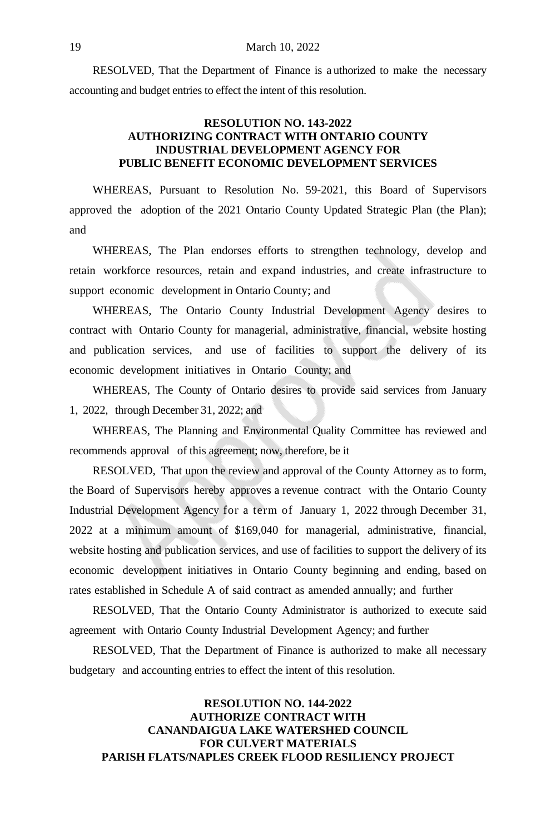RESOLVED, That the Department of Finance is a uthorized to make the necessary accounting and budget entries to effect the intent of this resolution.

## **RESOLUTION NO. 143-2022 AUTHORIZING CONTRACT WITH ONTARIO COUNTY INDUSTRIAL DEVELOPMENT AGENCY FOR PUBLIC BENEFIT ECONOMIC DEVELOPMENT SERVICES**

WHEREAS, Pursuant to Resolution No. 59-2021, this Board of Supervisors approved the adoption of the 2021 Ontario County Updated Strategic Plan (the Plan); and

WHEREAS, The Plan endorses efforts to strengthen technology, develop and retain workforce resources, retain and expand industries, and create infrastructure to support economic development in Ontario County; and

WHEREAS, The Ontario County Industrial Development Agency desires to contract with Ontario County for managerial, administrative, financial, website hosting and publication services, and use of facilities to support the delivery of its economic development initiatives in Ontario County; and

WHEREAS, The County of Ontario desires to provide said services from January 1, 2022, through December 31, 2022; and

WHEREAS, The Planning and Environmental Quality Committee has reviewed and recommends approval of this agreement; now, therefore, be it

RESOLVED, That upon the review and approval of the County Attorney as to form, the Board of Supervisors hereby approves a revenue contract with the Ontario County Industrial Development Agency for a term of January 1, 2022 through December 31, 2022 at a minimum amount of \$169,040 for managerial, administrative, financial, website hosting and publication services, and use of facilities to support the delivery of its economic development initiatives in Ontario County beginning and ending, based on rates established in Schedule A of said contract as amended annually; and further

RESOLVED, That the Ontario County Administrator is authorized to execute said agreement with Ontario County Industrial Development Agency; and further

RESOLVED, That the Department of Finance is authorized to make all necessary budgetary and accounting entries to effect the intent of this resolution.

# **RESOLUTION NO. 144-2022 AUTHORIZE CONTRACT WITH CANANDAIGUA LAKE WATERSHED COUNCIL FOR CULVERT MATERIALS PARISH FLATS/NAPLES CREEK FLOOD RESILIENCY PROJECT**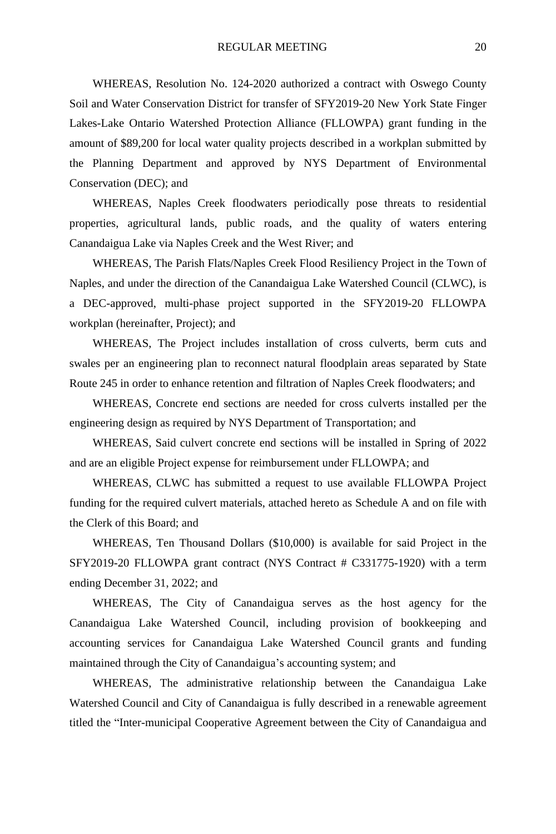WHEREAS, Resolution No. 124-2020 authorized a contract with Oswego County Soil and Water Conservation District for transfer of SFY2019-20 New York State Finger Lakes-Lake Ontario Watershed Protection Alliance (FLLOWPA) grant funding in the amount of \$89,200 for local water quality projects described in a workplan submitted by the Planning Department and approved by NYS Department of Environmental Conservation (DEC); and

WHEREAS, Naples Creek floodwaters periodically pose threats to residential properties, agricultural lands, public roads, and the quality of waters entering Canandaigua Lake via Naples Creek and the West River; and

WHEREAS, The Parish Flats/Naples Creek Flood Resiliency Project in the Town of Naples, and under the direction of the Canandaigua Lake Watershed Council (CLWC), is a DEC-approved, multi-phase project supported in the SFY2019-20 FLLOWPA workplan (hereinafter, Project); and

WHEREAS, The Project includes installation of cross culverts, berm cuts and swales per an engineering plan to reconnect natural floodplain areas separated by State Route 245 in order to enhance retention and filtration of Naples Creek floodwaters; and

WHEREAS, Concrete end sections are needed for cross culverts installed per the engineering design as required by NYS Department of Transportation; and

WHEREAS, Said culvert concrete end sections will be installed in Spring of 2022 and are an eligible Project expense for reimbursement under FLLOWPA; and

WHEREAS, CLWC has submitted a request to use available FLLOWPA Project funding for the required culvert materials, attached hereto as Schedule A and on file with the Clerk of this Board; and

WHEREAS, Ten Thousand Dollars (\$10,000) is available for said Project in the SFY2019-20 FLLOWPA grant contract (NYS Contract # C331775-1920) with a term ending December 31, 2022; and

WHEREAS, The City of Canandaigua serves as the host agency for the Canandaigua Lake Watershed Council, including provision of bookkeeping and accounting services for Canandaigua Lake Watershed Council grants and funding maintained through the City of Canandaigua's accounting system; and

WHEREAS, The administrative relationship between the Canandaigua Lake Watershed Council and City of Canandaigua is fully described in a renewable agreement titled the "Inter-municipal Cooperative Agreement between the City of Canandaigua and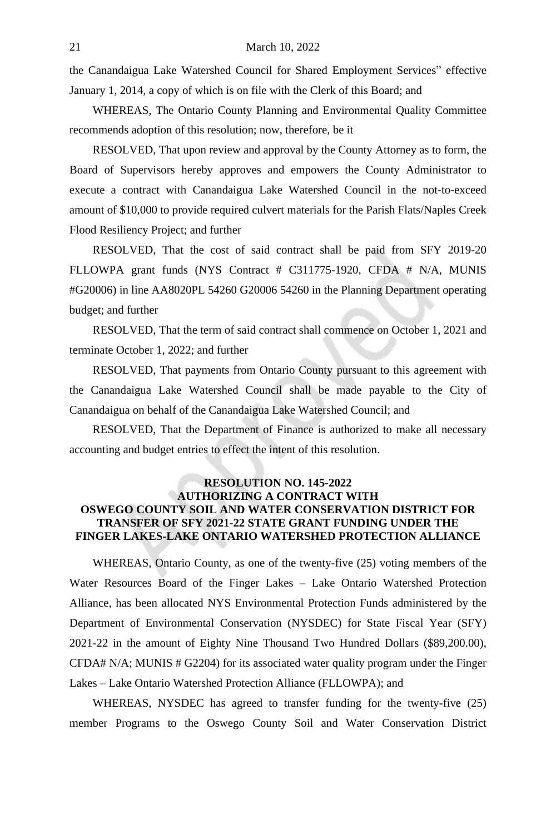the Canandaigua Lake Watershed Council for Shared Employment Services" effective January 1, 2014, a copy of which is on file with the Clerk of this Board; and

WHEREAS, The Ontario County Planning and Environmental Quality Committee recommends adoption of this resolution; now, therefore, be it

RESOLVED, That upon review and approval by the County Attorney as to form, the Board of Supervisors hereby approves and empowers the County Administrator to execute a contract with Canandaigua Lake Watershed Council in the not-to-exceed amount of \$10,000 to provide required culvert materials for the Parish Flats/Naples Creek Flood Resiliency Project; and further

RESOLVED, That the cost of said contract shall be paid from SFY 2019-20 FLLOWPA grant funds (NYS Contract # C311775-1920, CFDA # N/A, MUNIS #G20006) in line AA8020PL 54260 G20006 54260 in the Planning Department operating budget; and further

RESOLVED, That the term of said contract shall commence on October 1, 2021 and terminate October 1, 2022; and further

RESOLVED, That payments from Ontario County pursuant to this agreement with the Canandaigua Lake Watershed Council shall be made payable to the City of Canandaigua on behalf of the Canandaigua Lake Watershed Council; and

RESOLVED, That the Department of Finance is authorized to make all necessary accounting and budget entries to effect the intent of this resolution.

# **RESOLUTION NO. 145-2022 AUTHORIZING A CONTRACT WITH OSWEGO COUNTY SOIL AND WATER CONSERVATION DISTRICT FOR TRANSFER OF SFY 2021-22 STATE GRANT FUNDING UNDER THE FINGER LAKES-LAKE ONTARIO WATERSHED PROTECTION ALLIANCE**

WHEREAS, Ontario County, as one of the twenty-five (25) voting members of the Water Resources Board of the Finger Lakes – Lake Ontario Watershed Protection Alliance, has been allocated NYS Environmental Protection Funds administered by the Department of Environmental Conservation (NYSDEC) for State Fiscal Year (SFY) 2021-22 in the amount of Eighty Nine Thousand Two Hundred Dollars (\$89,200.00), CFDA# N/A; MUNIS # G2204) for its associated water quality program under the Finger Lakes – Lake Ontario Watershed Protection Alliance (FLLOWPA); and

WHEREAS, NYSDEC has agreed to transfer funding for the twenty-five (25) member Programs to the Oswego County Soil and Water Conservation District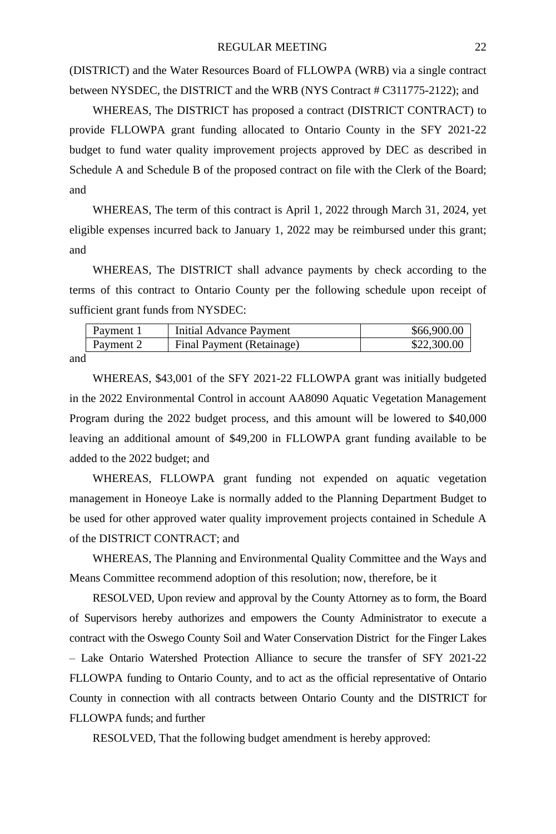(DISTRICT) and the Water Resources Board of FLLOWPA (WRB) via a single contract between NYSDEC, the DISTRICT and the WRB (NYS Contract # C311775-2122); and

WHEREAS, The DISTRICT has proposed a contract (DISTRICT CONTRACT) to provide FLLOWPA grant funding allocated to Ontario County in the SFY 2021-22 budget to fund water quality improvement projects approved by DEC as described in Schedule A and Schedule B of the proposed contract on file with the Clerk of the Board; and

WHEREAS, The term of this contract is April 1, 2022 through March 31, 2024, yet eligible expenses incurred back to January 1, 2022 may be reimbursed under this grant; and

WHEREAS, The DISTRICT shall advance payments by check according to the terms of this contract to Ontario County per the following schedule upon receipt of sufficient grant funds from NYSDEC:

| Payment 1         | Initial Advance Payment   | \$66,900.00 |
|-------------------|---------------------------|-------------|
| $\vert$ Payment 2 | Final Payment (Retainage) | \$22,300.00 |

and

WHEREAS, \$43,001 of the SFY 2021-22 FLLOWPA grant was initially budgeted in the 2022 Environmental Control in account AA8090 Aquatic Vegetation Management Program during the 2022 budget process, and this amount will be lowered to \$40,000 leaving an additional amount of \$49,200 in FLLOWPA grant funding available to be added to the 2022 budget; and

WHEREAS, FLLOWPA grant funding not expended on aquatic vegetation management in Honeoye Lake is normally added to the Planning Department Budget to be used for other approved water quality improvement projects contained in Schedule A of the DISTRICT CONTRACT; and

WHEREAS, The Planning and Environmental Quality Committee and the Ways and Means Committee recommend adoption of this resolution; now, therefore, be it

RESOLVED, Upon review and approval by the County Attorney as to form, the Board of Supervisors hereby authorizes and empowers the County Administrator to execute a contract with the Oswego County Soil and Water Conservation District for the Finger Lakes – Lake Ontario Watershed Protection Alliance to secure the transfer of SFY 2021-22 FLLOWPA funding to Ontario County, and to act as the official representative of Ontario County in connection with all contracts between Ontario County and the DISTRICT for FLLOWPA funds; and further

RESOLVED, That the following budget amendment is hereby approved: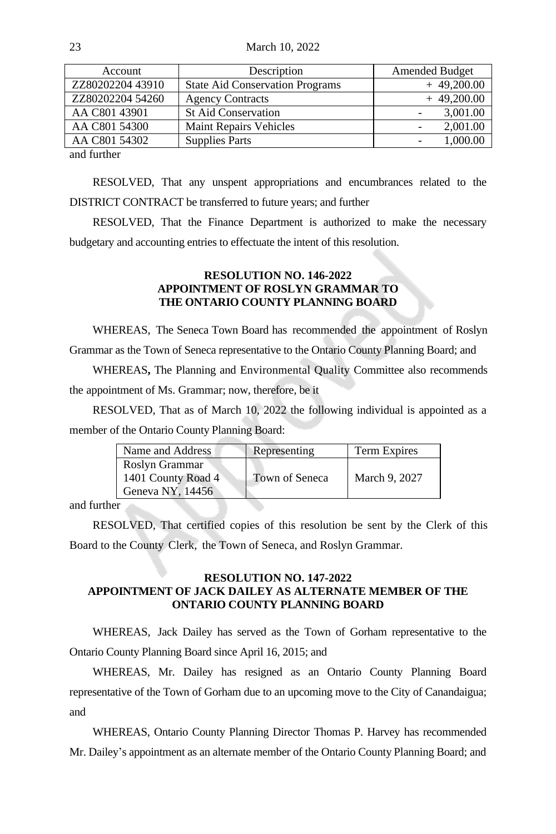23 March 10, 2022

| Description                            | <b>Amended Budget</b> |
|----------------------------------------|-----------------------|
| <b>State Aid Conservation Programs</b> | $+49,200.00$          |
| <b>Agency Contracts</b>                | $+49,200.00$          |
| <b>St Aid Conservation</b>             | 3,001.00              |
| Maint Repairs Vehicles                 | 2,001.00              |
| <b>Supplies Parts</b>                  | 1,000.00              |
|                                        |                       |

and further

RESOLVED, That any unspent appropriations and encumbrances related to the DISTRICT CONTRACT be transferred to future years; and further

RESOLVED, That the Finance Department is authorized to make the necessary budgetary and accounting entries to effectuate the intent of this resolution.

# **RESOLUTION NO. 146-2022 APPOINTMENT OF ROSLYN GRAMMAR TO THE ONTARIO COUNTY PLANNING BOARD**

WHEREAS, The Seneca Town Board has recommended the appointment of Roslyn Grammar as the Town of Seneca representative to the Ontario County Planning Board; and

WHEREAS**,** The Planning and Environmental Quality Committee also recommends the appointment of Ms. Grammar; now, therefore, be it

RESOLVED, That as of March 10, 2022 the following individual is appointed as a member of the Ontario County Planning Board:

| Roslyn Grammar<br>1401 County Road 4<br>Town of Seneca<br>March 9, 2027 | Name and Address | Representing | Term Expires |
|-------------------------------------------------------------------------|------------------|--------------|--------------|
|                                                                         | Geneva NY, 14456 |              |              |

and further

RESOLVED, That certified copies of this resolution be sent by the Clerk of this Board to the County Clerk, the Town of Seneca, and Roslyn Grammar.

## **RESOLUTION NO. 147-2022 APPOINTMENT OF JACK DAILEY AS ALTERNATE MEMBER OF THE ONTARIO COUNTY PLANNING BOARD**

WHEREAS, Jack Dailey has served as the Town of Gorham representative to the Ontario County Planning Board since April 16, 2015; and

WHEREAS, Mr. Dailey has resigned as an Ontario County Planning Board representative of the Town of Gorham due to an upcoming move to the City of Canandaigua; and

WHEREAS, Ontario County Planning Director Thomas P. Harvey has recommended Mr. Dailey's appointment as an alternate member of the Ontario County Planning Board; and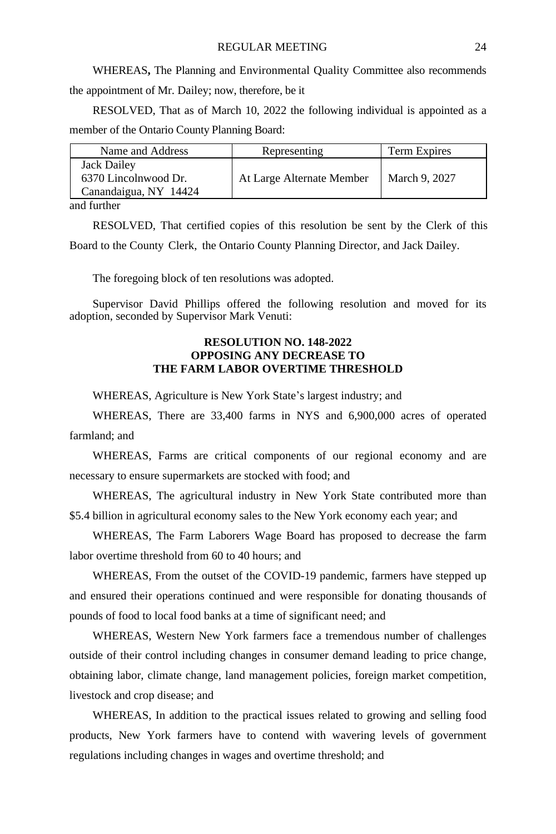WHEREAS**,** The Planning and Environmental Quality Committee also recommends the appointment of Mr. Dailey; now, therefore, be it

RESOLVED, That as of March 10, 2022 the following individual is appointed as a member of the Ontario County Planning Board:

| Name and Address                                             | Representing              | Term Expires  |
|--------------------------------------------------------------|---------------------------|---------------|
| Jack Dailey<br>6370 Lincolnwood Dr.<br>Canandaigua, NY 14424 | At Large Alternate Member | March 9, 2027 |
|                                                              |                           |               |

and further

RESOLVED, That certified copies of this resolution be sent by the Clerk of this Board to the County Clerk, the Ontario County Planning Director, and Jack Dailey.

The foregoing block of ten resolutions was adopted.

Supervisor David Phillips offered the following resolution and moved for its adoption, seconded by Supervisor Mark Venuti:

# **RESOLUTION NO. 148-2022 OPPOSING ANY DECREASE TO THE FARM LABOR OVERTIME THRESHOLD**

WHEREAS, Agriculture is New York State's largest industry; and

WHEREAS, There are 33,400 farms in NYS and 6,900,000 acres of operated farmland; and

WHEREAS, Farms are critical components of our regional economy and are necessary to ensure supermarkets are stocked with food; and

WHEREAS, The agricultural industry in New York State contributed more than \$5.4 billion in agricultural economy sales to the New York economy each year; and

WHEREAS, The Farm Laborers Wage Board has proposed to decrease the farm labor overtime threshold from 60 to 40 hours; and

WHEREAS, From the outset of the COVID-19 pandemic, farmers have stepped up and ensured their operations continued and were responsible for donating thousands of pounds of food to local food banks at a time of significant need; and

WHEREAS, Western New York farmers face a tremendous number of challenges outside of their control including changes in consumer demand leading to price change, obtaining labor, climate change, land management policies, foreign market competition, livestock and crop disease; and

WHEREAS, In addition to the practical issues related to growing and selling food products, New York farmers have to contend with wavering levels of government regulations including changes in wages and overtime threshold; and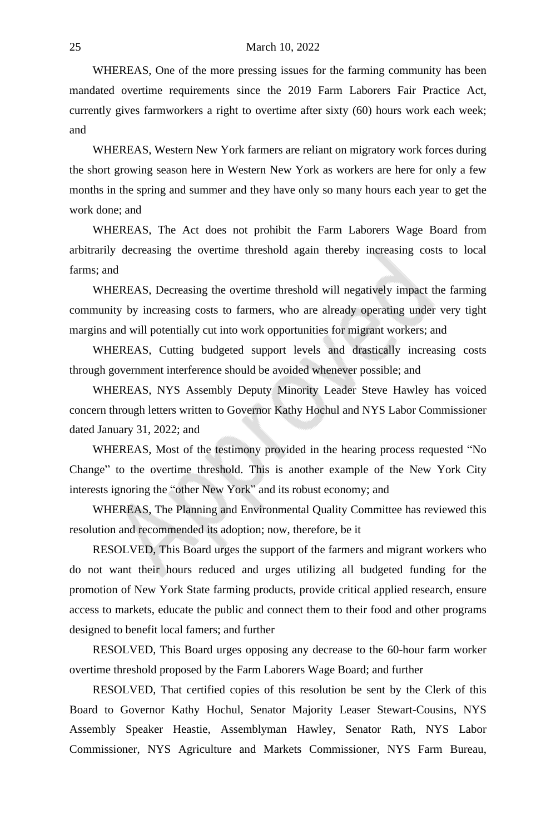#### 25 March 10, 2022

WHEREAS, One of the more pressing issues for the farming community has been mandated overtime requirements since the 2019 Farm Laborers Fair Practice Act, currently gives farmworkers a right to overtime after sixty (60) hours work each week; and

WHEREAS, Western New York farmers are reliant on migratory work forces during the short growing season here in Western New York as workers are here for only a few months in the spring and summer and they have only so many hours each year to get the work done; and

WHEREAS, The Act does not prohibit the Farm Laborers Wage Board from arbitrarily decreasing the overtime threshold again thereby increasing costs to local farms; and

WHEREAS, Decreasing the overtime threshold will negatively impact the farming community by increasing costs to farmers, who are already operating under very tight margins and will potentially cut into work opportunities for migrant workers; and

WHEREAS, Cutting budgeted support levels and drastically increasing costs through government interference should be avoided whenever possible; and

WHEREAS, NYS Assembly Deputy Minority Leader Steve Hawley has voiced concern through letters written to Governor Kathy Hochul and NYS Labor Commissioner dated January 31, 2022; and

WHEREAS, Most of the testimony provided in the hearing process requested "No Change" to the overtime threshold. This is another example of the New York City interests ignoring the "other New York" and its robust economy; and

WHEREAS, The Planning and Environmental Quality Committee has reviewed this resolution and recommended its adoption; now, therefore, be it

RESOLVED, This Board urges the support of the farmers and migrant workers who do not want their hours reduced and urges utilizing all budgeted funding for the promotion of New York State farming products, provide critical applied research, ensure access to markets, educate the public and connect them to their food and other programs designed to benefit local famers; and further

RESOLVED, This Board urges opposing any decrease to the 60-hour farm worker overtime threshold proposed by the Farm Laborers Wage Board; and further

RESOLVED, That certified copies of this resolution be sent by the Clerk of this Board to Governor Kathy Hochul, Senator Majority Leaser Stewart-Cousins, NYS Assembly Speaker Heastie, Assemblyman Hawley, Senator Rath, NYS Labor Commissioner, NYS Agriculture and Markets Commissioner, NYS Farm Bureau,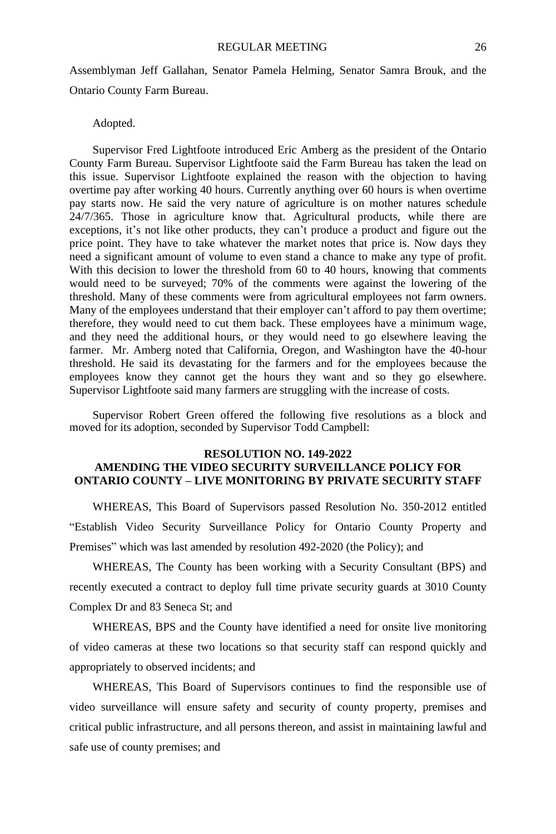Assemblyman Jeff Gallahan, Senator Pamela Helming, Senator Samra Brouk, and the Ontario County Farm Bureau.

#### Adopted.

Supervisor Fred Lightfoote introduced Eric Amberg as the president of the Ontario County Farm Bureau. Supervisor Lightfoote said the Farm Bureau has taken the lead on this issue. Supervisor Lightfoote explained the reason with the objection to having overtime pay after working 40 hours. Currently anything over 60 hours is when overtime pay starts now. He said the very nature of agriculture is on mother natures schedule 24/7/365. Those in agriculture know that. Agricultural products, while there are exceptions, it's not like other products, they can't produce a product and figure out the price point. They have to take whatever the market notes that price is. Now days they need a significant amount of volume to even stand a chance to make any type of profit. With this decision to lower the threshold from 60 to 40 hours, knowing that comments would need to be surveyed; 70% of the comments were against the lowering of the threshold. Many of these comments were from agricultural employees not farm owners. Many of the employees understand that their employer can't afford to pay them overtime; therefore, they would need to cut them back. These employees have a minimum wage, and they need the additional hours, or they would need to go elsewhere leaving the farmer. Mr. Amberg noted that California, Oregon, and Washington have the 40-hour threshold. He said its devastating for the farmers and for the employees because the employees know they cannot get the hours they want and so they go elsewhere. Supervisor Lightfoote said many farmers are struggling with the increase of costs.

Supervisor Robert Green offered the following five resolutions as a block and moved for its adoption, seconded by Supervisor Todd Campbell:

## **RESOLUTION NO. 149-2022 AMENDING THE VIDEO SECURITY SURVEILLANCE POLICY FOR ONTARIO COUNTY – LIVE MONITORING BY PRIVATE SECURITY STAFF**

WHEREAS, This Board of Supervisors passed Resolution No. 350-2012 entitled "Establish Video Security Surveillance Policy for Ontario County Property and Premises" which was last amended by resolution 492-2020 (the Policy); and

WHEREAS, The County has been working with a Security Consultant (BPS) and recently executed a contract to deploy full time private security guards at 3010 County Complex Dr and 83 Seneca St; and

WHEREAS, BPS and the County have identified a need for onsite live monitoring of video cameras at these two locations so that security staff can respond quickly and appropriately to observed incidents; and

WHEREAS, This Board of Supervisors continues to find the responsible use of video surveillance will ensure safety and security of county property, premises and critical public infrastructure, and all persons thereon, and assist in maintaining lawful and safe use of county premises; and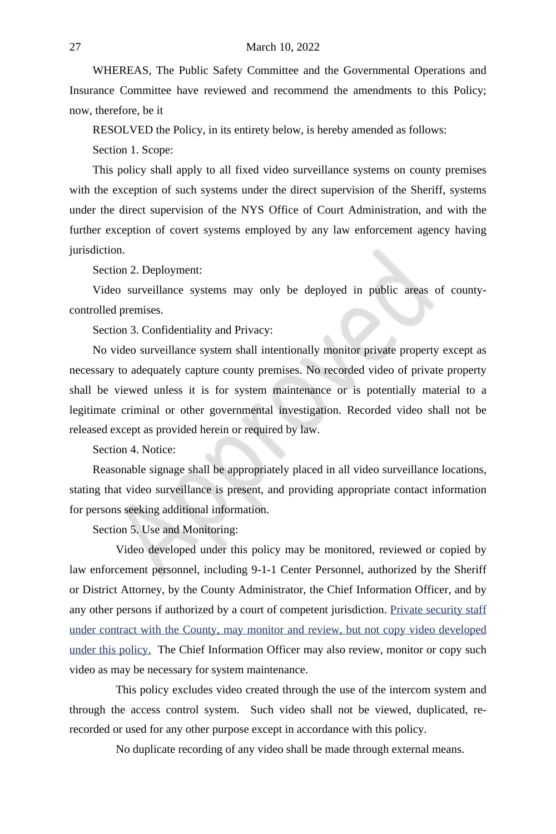#### 27 March 10, 2022

WHEREAS, The Public Safety Committee and the Governmental Operations and Insurance Committee have reviewed and recommend the amendments to this Policy; now, therefore, be it

RESOLVED the Policy, in its entirety below, is hereby amended as follows:

Section 1. Scope:

This policy shall apply to all fixed video surveillance systems on county premises with the exception of such systems under the direct supervision of the Sheriff, systems under the direct supervision of the NYS Office of Court Administration, and with the further exception of covert systems employed by any law enforcement agency having jurisdiction.

Section 2. Deployment:

Video surveillance systems may only be deployed in public areas of countycontrolled premises.

Section 3. Confidentiality and Privacy:

No video surveillance system shall intentionally monitor private property except as necessary to adequately capture county premises. No recorded video of private property shall be viewed unless it is for system maintenance or is potentially material to a legitimate criminal or other governmental investigation. Recorded video shall not be released except as provided herein or required by law.

Section 4. Notice:

Reasonable signage shall be appropriately placed in all video surveillance locations, stating that video surveillance is present, and providing appropriate contact information for persons seeking additional information.

Section 5. Use and Monitoring:

Video developed under this policy may be monitored, reviewed or copied by law enforcement personnel, including 9-1-1 Center Personnel, authorized by the Sheriff or District Attorney, by the County Administrator, the Chief Information Officer, and by any other persons if authorized by a court of competent jurisdiction. Private security staff under contract with the County, may monitor and review, but not copy video developed under this policy. The Chief Information Officer may also review, monitor or copy such video as may be necessary for system maintenance.

This policy excludes video created through the use of the intercom system and through the access control system. Such video shall not be viewed, duplicated, rerecorded or used for any other purpose except in accordance with this policy.

No duplicate recording of any video shall be made through external means.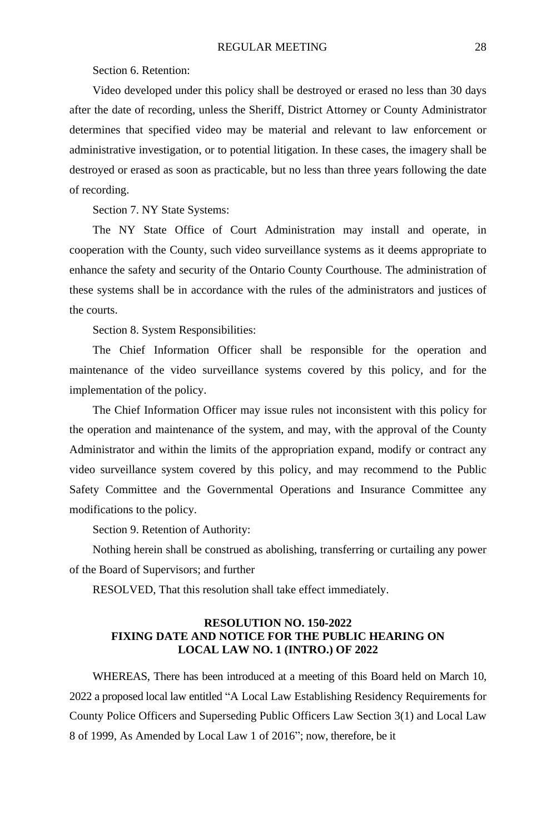Section 6. Retention:

Video developed under this policy shall be destroyed or erased no less than 30 days after the date of recording, unless the Sheriff, District Attorney or County Administrator determines that specified video may be material and relevant to law enforcement or administrative investigation, or to potential litigation. In these cases, the imagery shall be destroyed or erased as soon as practicable, but no less than three years following the date of recording.

Section 7. NY State Systems:

The NY State Office of Court Administration may install and operate, in cooperation with the County, such video surveillance systems as it deems appropriate to enhance the safety and security of the Ontario County Courthouse. The administration of these systems shall be in accordance with the rules of the administrators and justices of the courts.

Section 8. System Responsibilities:

The Chief Information Officer shall be responsible for the operation and maintenance of the video surveillance systems covered by this policy, and for the implementation of the policy.

The Chief Information Officer may issue rules not inconsistent with this policy for the operation and maintenance of the system, and may, with the approval of the County Administrator and within the limits of the appropriation expand, modify or contract any video surveillance system covered by this policy, and may recommend to the Public Safety Committee and the Governmental Operations and Insurance Committee any modifications to the policy.

Section 9. Retention of Authority:

Nothing herein shall be construed as abolishing, transferring or curtailing any power of the Board of Supervisors; and further

RESOLVED, That this resolution shall take effect immediately.

### **RESOLUTION NO. 150-2022 FIXING DATE AND NOTICE FOR THE PUBLIC HEARING ON LOCAL LAW NO. 1 (INTRO.) OF 2022**

WHEREAS, There has been introduced at a meeting of this Board held on March 10, 2022 a proposed local law entitled "A Local Law Establishing Residency Requirements for County Police Officers and Superseding Public Officers Law Section 3(1) and Local Law 8 of 1999, As Amended by Local Law 1 of 2016"; now, therefore, be it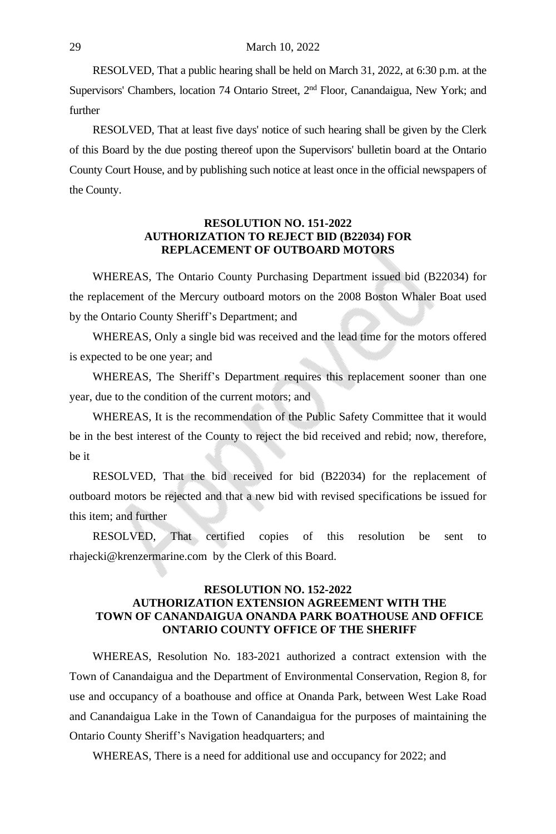RESOLVED, That a public hearing shall be held on March 31, 2022, at 6:30 p.m. at the Supervisors' Chambers, location 74 Ontario Street, 2<sup>nd</sup> Floor, Canandaigua, New York; and further

RESOLVED, That at least five days' notice of such hearing shall be given by the Clerk of this Board by the due posting thereof upon the Supervisors' bulletin board at the Ontario County Court House, and by publishing such notice at least once in the official newspapers of the County.

#### **RESOLUTION NO. 151-2022 AUTHORIZATION TO REJECT BID (B22034) FOR REPLACEMENT OF OUTBOARD MOTORS**

WHEREAS, The Ontario County Purchasing Department issued bid (B22034) for the replacement of the Mercury outboard motors on the 2008 Boston Whaler Boat used by the Ontario County Sheriff's Department; and

WHEREAS, Only a single bid was received and the lead time for the motors offered is expected to be one year; and

WHEREAS, The Sheriff's Department requires this replacement sooner than one year, due to the condition of the current motors; and

WHEREAS, It is the recommendation of the Public Safety Committee that it would be in the best interest of the County to reject the bid received and rebid; now, therefore, be it

RESOLVED, That the bid received for bid (B22034) for the replacement of outboard motors be rejected and that a new bid with revised specifications be issued for this item; and further

RESOLVED, That certified copies of this resolution be sent to rhajecki@krenzermarine.com by the Clerk of this Board.

#### **RESOLUTION NO. 152-2022 AUTHORIZATION EXTENSION AGREEMENT WITH THE TOWN OF CANANDAIGUA ONANDA PARK BOATHOUSE AND OFFICE ONTARIO COUNTY OFFICE OF THE SHERIFF**

WHEREAS, Resolution No. 183-2021 authorized a contract extension with the Town of Canandaigua and the Department of Environmental Conservation, Region 8, for use and occupancy of a boathouse and office at Onanda Park, between West Lake Road and Canandaigua Lake in the Town of Canandaigua for the purposes of maintaining the Ontario County Sheriff's Navigation headquarters; and

WHEREAS, There is a need for additional use and occupancy for 2022; and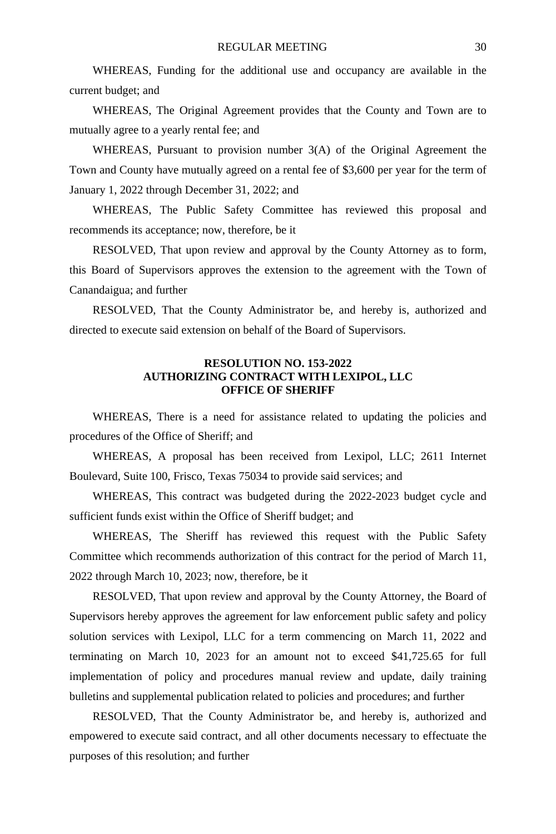WHEREAS, Funding for the additional use and occupancy are available in the current budget; and

WHEREAS, The Original Agreement provides that the County and Town are to mutually agree to a yearly rental fee; and

WHEREAS, Pursuant to provision number 3(A) of the Original Agreement the Town and County have mutually agreed on a rental fee of \$3,600 per year for the term of January 1, 2022 through December 31, 2022; and

WHEREAS, The Public Safety Committee has reviewed this proposal and recommends its acceptance; now, therefore, be it

RESOLVED, That upon review and approval by the County Attorney as to form, this Board of Supervisors approves the extension to the agreement with the Town of Canandaigua; and further

RESOLVED, That the County Administrator be, and hereby is, authorized and directed to execute said extension on behalf of the Board of Supervisors.

# **RESOLUTION NO. 153-2022 AUTHORIZING CONTRACT WITH LEXIPOL, LLC OFFICE OF SHERIFF**

WHEREAS, There is a need for assistance related to updating the policies and procedures of the Office of Sheriff; and

WHEREAS, A proposal has been received from Lexipol, LLC; 2611 Internet Boulevard, Suite 100, Frisco, Texas 75034 to provide said services; and

WHEREAS, This contract was budgeted during the 2022-2023 budget cycle and sufficient funds exist within the Office of Sheriff budget; and

WHEREAS, The Sheriff has reviewed this request with the Public Safety Committee which recommends authorization of this contract for the period of March 11, 2022 through March 10, 2023; now, therefore, be it

RESOLVED, That upon review and approval by the County Attorney, the Board of Supervisors hereby approves the agreement for law enforcement public safety and policy solution services with Lexipol, LLC for a term commencing on March 11, 2022 and terminating on March 10, 2023 for an amount not to exceed \$41,725.65 for full implementation of policy and procedures manual review and update, daily training bulletins and supplemental publication related to policies and procedures; and further

RESOLVED, That the County Administrator be, and hereby is, authorized and empowered to execute said contract, and all other documents necessary to effectuate the purposes of this resolution; and further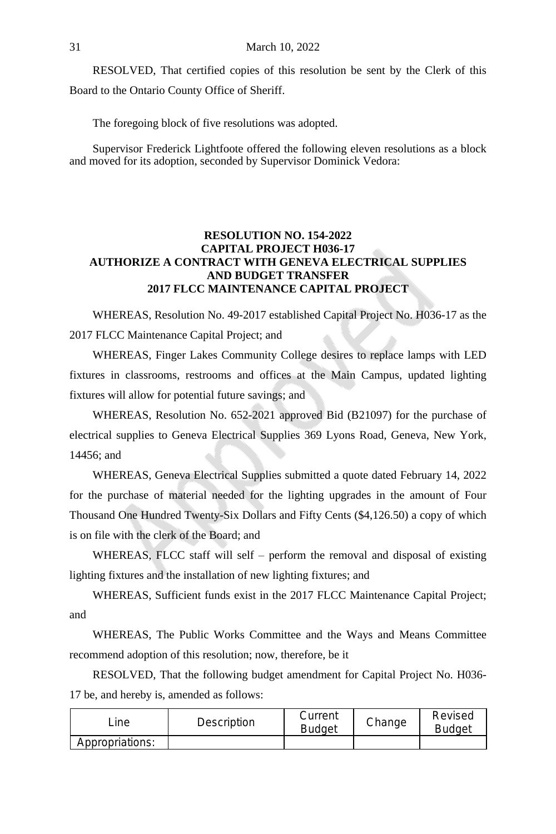RESOLVED, That certified copies of this resolution be sent by the Clerk of this Board to the Ontario County Office of Sheriff.

The foregoing block of five resolutions was adopted.

Supervisor Frederick Lightfoote offered the following eleven resolutions as a block and moved for its adoption, seconded by Supervisor Dominick Vedora:

# **RESOLUTION NO. 154-2022 CAPITAL PROJECT H036-17 AUTHORIZE A CONTRACT WITH GENEVA ELECTRICAL SUPPLIES AND BUDGET TRANSFER 2017 FLCC MAINTENANCE CAPITAL PROJECT**

WHEREAS, Resolution No. 49-2017 established Capital Project No. H036-17 as the 2017 FLCC Maintenance Capital Project; and

WHEREAS, Finger Lakes Community College desires to replace lamps with LED fixtures in classrooms, restrooms and offices at the Main Campus, updated lighting fixtures will allow for potential future savings; and

WHEREAS, Resolution No. 652-2021 approved Bid (B21097) for the purchase of electrical supplies to Geneva Electrical Supplies 369 Lyons Road, Geneva, New York, 14456; and

WHEREAS, Geneva Electrical Supplies submitted a quote dated February 14, 2022 for the purchase of material needed for the lighting upgrades in the amount of Four Thousand One Hundred Twenty-Six Dollars and Fifty Cents (\$4,126.50) a copy of which is on file with the clerk of the Board; and

WHEREAS, FLCC staff will self – perform the removal and disposal of existing lighting fixtures and the installation of new lighting fixtures; and

WHEREAS, Sufficient funds exist in the 2017 FLCC Maintenance Capital Project; and

WHEREAS, The Public Works Committee and the Ways and Means Committee recommend adoption of this resolution; now, therefore, be it

RESOLVED, That the following budget amendment for Capital Project No. H036- 17 be, and hereby is, amended as follows:

| _ine            | Description | Current<br><b>Budget</b> | Change | Revised<br>Budaet |
|-----------------|-------------|--------------------------|--------|-------------------|
| Appropriations: |             |                          |        |                   |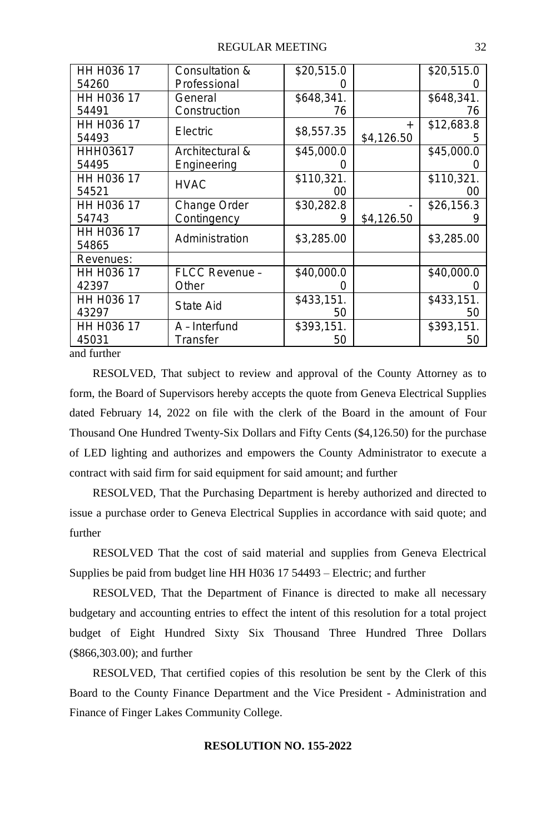| HH H036 17              | Consultation &  | \$20,515.0 |            | \$20,515.0 |
|-------------------------|-----------------|------------|------------|------------|
|                         |                 |            |            |            |
| 54260                   | Professional    | 0          |            |            |
| HH H036 17              | General         | \$648,341. |            | \$648,341. |
| 54491                   | Construction    | 76         |            | 76         |
| HH H <sub>0</sub> 36 17 |                 |            | $+$        | \$12,683.8 |
| 54493                   | Electric        | \$8,557.35 | \$4,126.50 | b          |
| HHH03617                | Architectural & | \$45,000.0 |            | \$45,000.0 |
| 54495                   | Engineering     | O          |            |            |
| HH H036 17              |                 | \$110,321. |            | \$110,321. |
| 54521                   | <b>HVAC</b>     | 00         |            | 00         |
| HH H036 17              | Change Order    | \$30,282.8 |            | \$26,156.3 |
| 54743                   | Contingency     | 9          | \$4,126.50 |            |
| HH H036 17              |                 |            |            |            |
| 54865                   | Administration  | \$3,285.00 |            | \$3,285.00 |
| Revenues:               |                 |            |            |            |
| HH H036 17              | FLCC Revenue -  | \$40,000.0 |            | \$40,000.0 |
| 42397                   | Other           | 0          |            |            |
| HH H036 17              |                 | \$433,151. |            | \$433,151. |
| 43297                   | State Aid       | 50         |            | 50         |
| HH H036 17              | A - Interfund   | \$393,151. |            | \$393,151. |
| 45031                   | Transfer        | 50         |            | 50         |
| $1 \cdot C \cdot 1$     |                 |            |            |            |

and further

RESOLVED, That subject to review and approval of the County Attorney as to form, the Board of Supervisors hereby accepts the quote from Geneva Electrical Supplies dated February 14, 2022 on file with the clerk of the Board in the amount of Four Thousand One Hundred Twenty-Six Dollars and Fifty Cents (\$4,126.50) for the purchase of LED lighting and authorizes and empowers the County Administrator to execute a contract with said firm for said equipment for said amount; and further

RESOLVED, That the Purchasing Department is hereby authorized and directed to issue a purchase order to Geneva Electrical Supplies in accordance with said quote; and further

RESOLVED That the cost of said material and supplies from Geneva Electrical Supplies be paid from budget line HH H036 17 54493 – Electric; and further

RESOLVED, That the Department of Finance is directed to make all necessary budgetary and accounting entries to effect the intent of this resolution for a total project budget of Eight Hundred Sixty Six Thousand Three Hundred Three Dollars (\$866,303.00); and further

RESOLVED, That certified copies of this resolution be sent by the Clerk of this Board to the County Finance Department and the Vice President - Administration and Finance of Finger Lakes Community College.

# **RESOLUTION NO. 155-2022**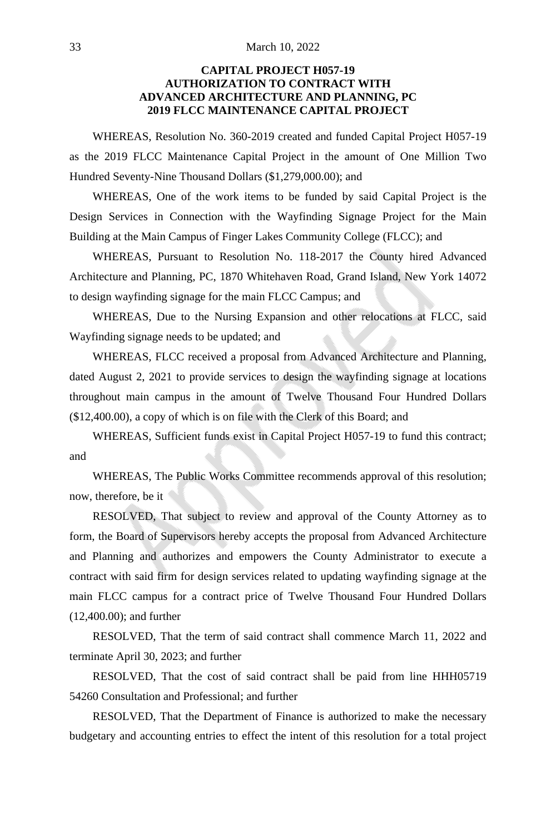# **CAPITAL PROJECT H057-19 AUTHORIZATION TO CONTRACT WITH ADVANCED ARCHITECTURE AND PLANNING, PC 2019 FLCC MAINTENANCE CAPITAL PROJECT**

WHEREAS, Resolution No. 360-2019 created and funded Capital Project H057-19 as the 2019 FLCC Maintenance Capital Project in the amount of One Million Two Hundred Seventy-Nine Thousand Dollars (\$1,279,000.00); and

WHEREAS, One of the work items to be funded by said Capital Project is the Design Services in Connection with the Wayfinding Signage Project for the Main Building at the Main Campus of Finger Lakes Community College (FLCC); and

WHEREAS, Pursuant to Resolution No. 118-2017 the County hired Advanced Architecture and Planning, PC, 1870 Whitehaven Road, Grand Island, New York 14072 to design wayfinding signage for the main FLCC Campus; and

WHEREAS, Due to the Nursing Expansion and other relocations at FLCC, said Wayfinding signage needs to be updated; and

WHEREAS, FLCC received a proposal from Advanced Architecture and Planning, dated August 2, 2021 to provide services to design the wayfinding signage at locations throughout main campus in the amount of Twelve Thousand Four Hundred Dollars (\$12,400.00), a copy of which is on file with the Clerk of this Board; and

WHEREAS, Sufficient funds exist in Capital Project H057-19 to fund this contract; and

WHEREAS, The Public Works Committee recommends approval of this resolution; now, therefore, be it

RESOLVED, That subject to review and approval of the County Attorney as to form, the Board of Supervisors hereby accepts the proposal from Advanced Architecture and Planning and authorizes and empowers the County Administrator to execute a contract with said firm for design services related to updating wayfinding signage at the main FLCC campus for a contract price of Twelve Thousand Four Hundred Dollars (12,400.00); and further

RESOLVED, That the term of said contract shall commence March 11, 2022 and terminate April 30, 2023; and further

RESOLVED, That the cost of said contract shall be paid from line HHH05719 54260 Consultation and Professional; and further

RESOLVED, That the Department of Finance is authorized to make the necessary budgetary and accounting entries to effect the intent of this resolution for a total project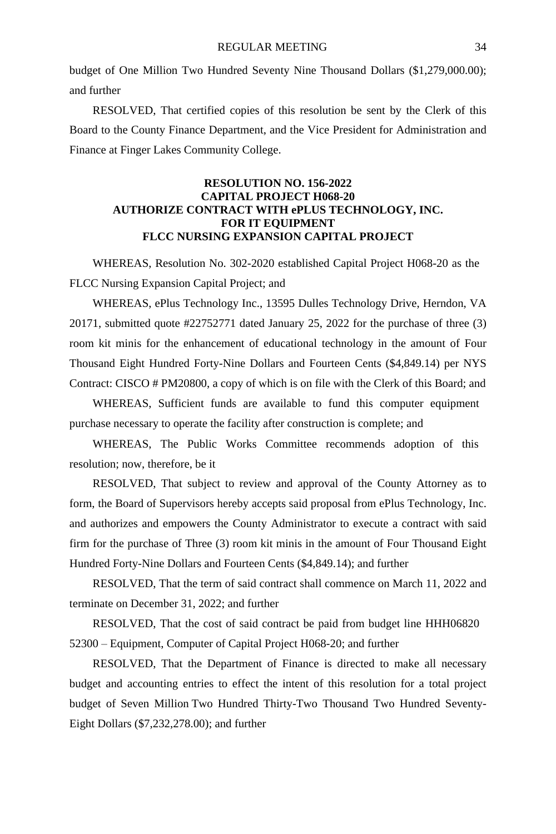budget of One Million Two Hundred Seventy Nine Thousand Dollars (\$1,279,000.00); and further

RESOLVED, That certified copies of this resolution be sent by the Clerk of this Board to the County Finance Department, and the Vice President for Administration and Finance at Finger Lakes Community College.

# **RESOLUTION NO. 156-2022 CAPITAL PROJECT H068-20 AUTHORIZE CONTRACT WITH ePLUS TECHNOLOGY, INC. FOR IT EQUIPMENT FLCC NURSING EXPANSION CAPITAL PROJECT**

WHEREAS, Resolution No. 302-2020 established Capital Project H068-20 as the FLCC Nursing Expansion Capital Project; and

WHEREAS, ePlus Technology Inc., 13595 Dulles Technology Drive, Herndon, VA 20171, submitted quote #22752771 dated January 25, 2022 for the purchase of three (3) room kit minis for the enhancement of educational technology in the amount of Four Thousand Eight Hundred Forty-Nine Dollars and Fourteen Cents (\$4,849.14) per NYS Contract: CISCO # PM20800, a copy of which is on file with the Clerk of this Board; and

WHEREAS, Sufficient funds are available to fund this computer equipment purchase necessary to operate the facility after construction is complete; and

WHEREAS, The Public Works Committee recommends adoption of this resolution; now, therefore, be it

RESOLVED, That subject to review and approval of the County Attorney as to form, the Board of Supervisors hereby accepts said proposal from ePlus Technology, Inc. and authorizes and empowers the County Administrator to execute a contract with said firm for the purchase of Three (3) room kit minis in the amount of Four Thousand Eight Hundred Forty-Nine Dollars and Fourteen Cents (\$4,849.14); and further

RESOLVED, That the term of said contract shall commence on March 11, 2022 and terminate on December 31, 2022; and further

RESOLVED, That the cost of said contract be paid from budget line HHH06820 52300 – Equipment, Computer of Capital Project H068-20; and further

RESOLVED, That the Department of Finance is directed to make all necessary budget and accounting entries to effect the intent of this resolution for a total project budget of Seven Million Two Hundred Thirty-Two Thousand Two Hundred Seventy-Eight Dollars (\$7,232,278.00); and further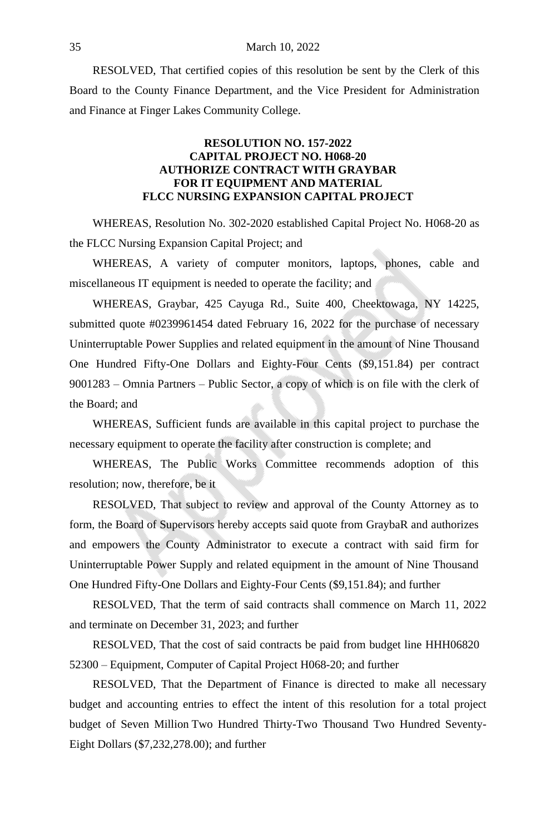RESOLVED, That certified copies of this resolution be sent by the Clerk of this Board to the County Finance Department, and the Vice President for Administration and Finance at Finger Lakes Community College.

## **RESOLUTION NO. 157-2022 CAPITAL PROJECT NO. H068-20 AUTHORIZE CONTRACT WITH GRAYBAR FOR IT EQUIPMENT AND MATERIAL FLCC NURSING EXPANSION CAPITAL PROJECT**

WHEREAS, Resolution No. 302-2020 established Capital Project No. H068-20 as the FLCC Nursing Expansion Capital Project; and

WHEREAS, A variety of computer monitors, laptops, phones, cable and miscellaneous IT equipment is needed to operate the facility; and

WHEREAS, Graybar, 425 Cayuga Rd., Suite 400, Cheektowaga, NY 14225, submitted quote #0239961454 dated February 16, 2022 for the purchase of necessary Uninterruptable Power Supplies and related equipment in the amount of Nine Thousand One Hundred Fifty-One Dollars and Eighty-Four Cents (\$9,151.84) per contract 9001283 – Omnia Partners – Public Sector, a copy of which is on file with the clerk of the Board; and

WHEREAS, Sufficient funds are available in this capital project to purchase the necessary equipment to operate the facility after construction is complete; and

WHEREAS, The Public Works Committee recommends adoption of this resolution; now, therefore, be it

RESOLVED, That subject to review and approval of the County Attorney as to form, the Board of Supervisors hereby accepts said quote from GraybaR and authorizes and empowers the County Administrator to execute a contract with said firm for Uninterruptable Power Supply and related equipment in the amount of Nine Thousand One Hundred Fifty-One Dollars and Eighty-Four Cents (\$9,151.84); and further

RESOLVED, That the term of said contracts shall commence on March 11, 2022 and terminate on December 31, 2023; and further

RESOLVED, That the cost of said contracts be paid from budget line HHH06820 52300 – Equipment, Computer of Capital Project H068-20; and further

RESOLVED, That the Department of Finance is directed to make all necessary budget and accounting entries to effect the intent of this resolution for a total project budget of Seven Million Two Hundred Thirty-Two Thousand Two Hundred Seventy-Eight Dollars (\$7,232,278.00); and further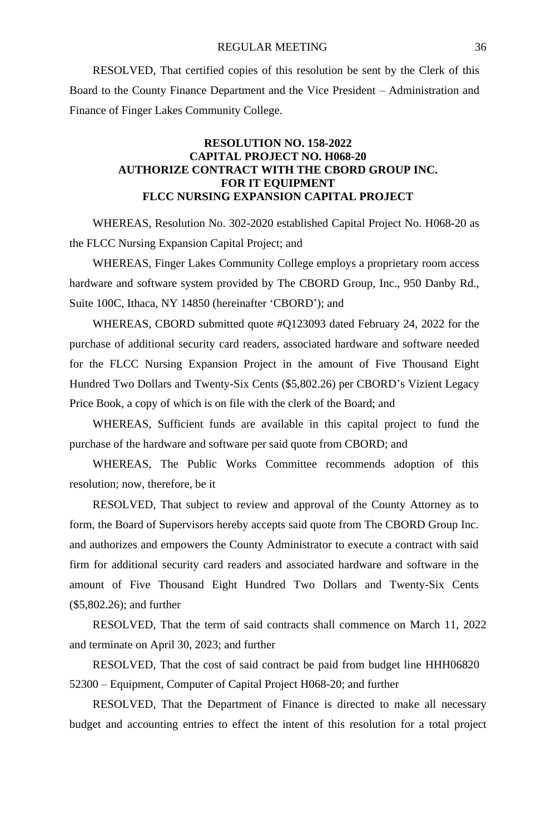RESOLVED, That certified copies of this resolution be sent by the Clerk of this Board to the County Finance Department and the Vice President – Administration and Finance of Finger Lakes Community College.

## **RESOLUTION NO. 158-2022 CAPITAL PROJECT NO. H068-20 AUTHORIZE CONTRACT WITH THE CBORD GROUP INC. FOR IT EQUIPMENT FLCC NURSING EXPANSION CAPITAL PROJECT**

WHEREAS, Resolution No. 302-2020 established Capital Project No. H068-20 as the FLCC Nursing Expansion Capital Project; and

WHEREAS, Finger Lakes Community College employs a proprietary room access hardware and software system provided by The CBORD Group, Inc., 950 Danby Rd., Suite 100C, Ithaca, NY 14850 (hereinafter 'CBORD'); and

WHEREAS, CBORD submitted quote #Q123093 dated February 24, 2022 for the purchase of additional security card readers, associated hardware and software needed for the FLCC Nursing Expansion Project in the amount of Five Thousand Eight Hundred Two Dollars and Twenty-Six Cents (\$5,802.26) per CBORD's Vizient Legacy Price Book, a copy of which is on file with the clerk of the Board; and

WHEREAS, Sufficient funds are available in this capital project to fund the purchase of the hardware and software per said quote from CBORD; and

WHEREAS, The Public Works Committee recommends adoption of this resolution; now, therefore, be it

RESOLVED, That subject to review and approval of the County Attorney as to form, the Board of Supervisors hereby accepts said quote from The CBORD Group Inc. and authorizes and empowers the County Administrator to execute a contract with said firm for additional security card readers and associated hardware and software in the amount of Five Thousand Eight Hundred Two Dollars and Twenty-Six Cents (\$5,802.26); and further

RESOLVED, That the term of said contracts shall commence on March 11, 2022 and terminate on April 30, 2023; and further

RESOLVED, That the cost of said contract be paid from budget line HHH06820 52300 – Equipment, Computer of Capital Project H068-20; and further

RESOLVED, That the Department of Finance is directed to make all necessary budget and accounting entries to effect the intent of this resolution for a total project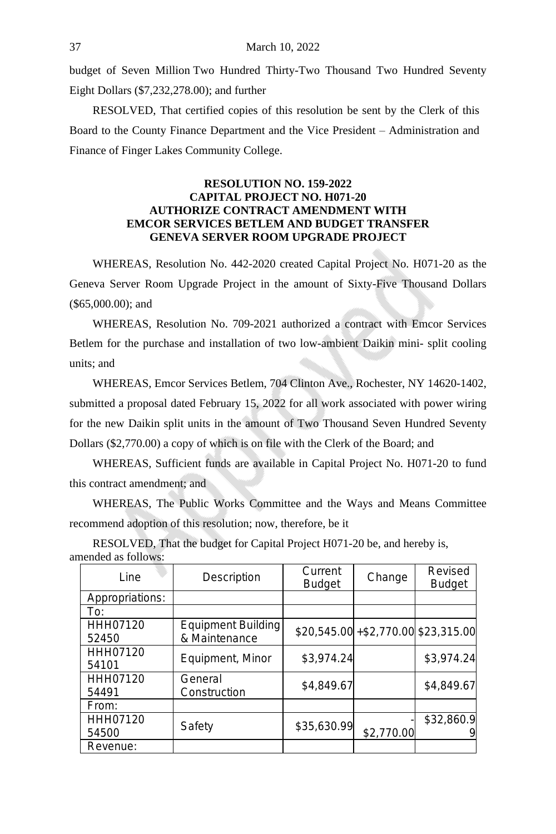budget of Seven Million Two Hundred Thirty-Two Thousand Two Hundred Seventy Eight Dollars (\$7,232,278.00); and further

RESOLVED, That certified copies of this resolution be sent by the Clerk of this Board to the County Finance Department and the Vice President – Administration and Finance of Finger Lakes Community College.

# **RESOLUTION NO. 159-2022 CAPITAL PROJECT NO. H071-20 AUTHORIZE CONTRACT AMENDMENT WITH EMCOR SERVICES BETLEM AND BUDGET TRANSFER GENEVA SERVER ROOM UPGRADE PROJECT**

WHEREAS, Resolution No. 442-2020 created Capital Project No. H071-20 as the Geneva Server Room Upgrade Project in the amount of Sixty-Five Thousand Dollars (\$65,000.00); and

WHEREAS, Resolution No. 709-2021 authorized a contract with Emcor Services Betlem for the purchase and installation of two low-ambient Daikin mini- split cooling units; and

WHEREAS, Emcor Services Betlem, 704 Clinton Ave., Rochester, NY 14620-1402, submitted a proposal dated February 15, 2022 for all work associated with power wiring for the new Daikin split units in the amount of Two Thousand Seven Hundred Seventy Dollars (\$2,770.00) a copy of which is on file with the Clerk of the Board; and

WHEREAS, Sufficient funds are available in Capital Project No. H071-20 to fund this contract amendment; and

WHEREAS, The Public Works Committee and the Ways and Means Committee recommend adoption of this resolution; now, therefore, be it

| $1011909$ as $10110$ ma |                                         |             |                                     |                          |
|-------------------------|-----------------------------------------|-------------|-------------------------------------|--------------------------|
| Line                    | Current<br>Description<br><b>Budget</b> |             | Change                              | Revised<br><b>Budget</b> |
| Appropriations:         |                                         |             |                                     |                          |
| To:                     |                                         |             |                                     |                          |
| HHH07120<br>52450       | Equipment Building<br>& Maintenance     |             | $$20,545.00 + $2,770.00 $23,315.00$ |                          |
| HHH07120<br>54101       | Equipment, Minor                        | \$3,974.24  |                                     | \$3,974.24               |
| HHH07120<br>54491       | General<br>Construction                 | \$4,849.67  |                                     | \$4,849.67               |
| From:                   |                                         |             |                                     |                          |
| HHH07120<br>54500       | Safety                                  | \$35,630.99 | \$2,770.00                          | \$32,860.9<br>9          |
| Revenue:                |                                         |             |                                     |                          |

RESOLVED, That the budget for Capital Project H071-20 be, and hereby is, amended as follows: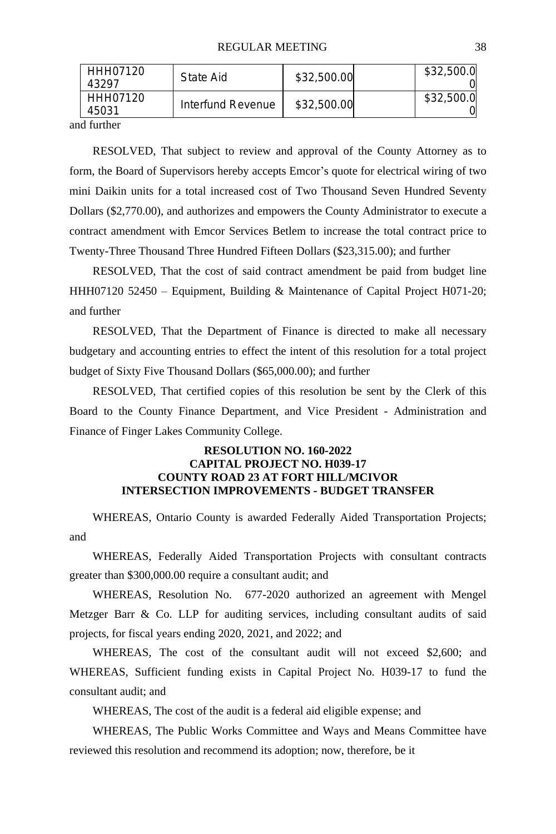| HHH07120<br>\$32,500.00<br>Interfund Revenue<br>45031 | HHH07120<br>43297 | State Aid | \$32,500.00 | \$32,500.0 |
|-------------------------------------------------------|-------------------|-----------|-------------|------------|
|                                                       |                   |           |             | \$32,500.0 |

and further

RESOLVED, That subject to review and approval of the County Attorney as to form, the Board of Supervisors hereby accepts Emcor's quote for electrical wiring of two mini Daikin units for a total increased cost of Two Thousand Seven Hundred Seventy Dollars (\$2,770.00), and authorizes and empowers the County Administrator to execute a contract amendment with Emcor Services Betlem to increase the total contract price to Twenty-Three Thousand Three Hundred Fifteen Dollars (\$23,315.00); and further

RESOLVED, That the cost of said contract amendment be paid from budget line HHH07120 52450 – Equipment, Building & Maintenance of Capital Project H071-20; and further

RESOLVED, That the Department of Finance is directed to make all necessary budgetary and accounting entries to effect the intent of this resolution for a total project budget of Sixty Five Thousand Dollars (\$65,000.00); and further

RESOLVED, That certified copies of this resolution be sent by the Clerk of this Board to the County Finance Department, and Vice President - Administration and Finance of Finger Lakes Community College.

# **RESOLUTION NO. 160-2022 CAPITAL PROJECT NO. H039-17 COUNTY ROAD 23 AT FORT HILL/MCIVOR INTERSECTION IMPROVEMENTS - BUDGET TRANSFER**

WHEREAS, Ontario County is awarded Federally Aided Transportation Projects; and

WHEREAS, Federally Aided Transportation Projects with consultant contracts greater than \$300,000.00 require a consultant audit; and

WHEREAS, Resolution No. 677-2020 authorized an agreement with Mengel Metzger Barr & Co. LLP for auditing services, including consultant audits of said projects, for fiscal years ending 2020, 2021, and 2022; and

WHEREAS, The cost of the consultant audit will not exceed \$2,600; and WHEREAS, Sufficient funding exists in Capital Project No. H039-17 to fund the consultant audit; and

WHEREAS, The cost of the audit is a federal aid eligible expense; and

WHEREAS, The Public Works Committee and Ways and Means Committee have reviewed this resolution and recommend its adoption; now, therefore, be it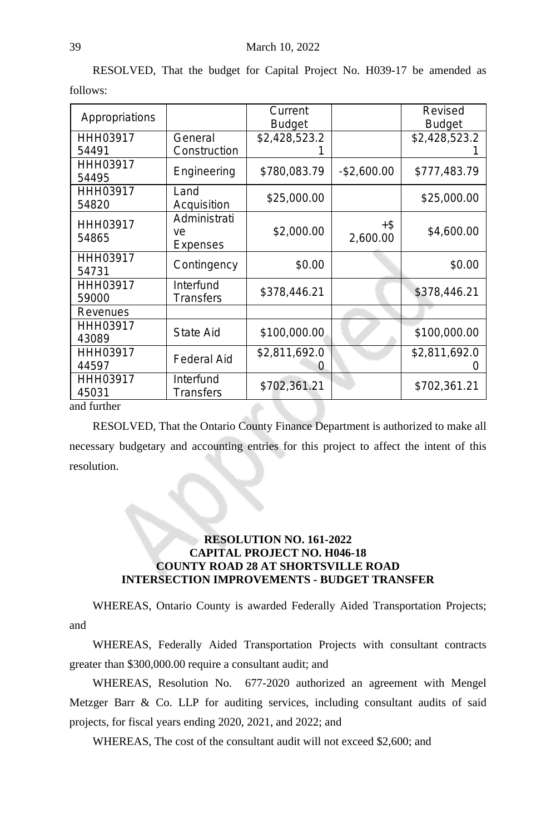|                   |                                | Current       |                    | Revised       |
|-------------------|--------------------------------|---------------|--------------------|---------------|
| Appropriations    |                                | <b>Budget</b> |                    | <b>Budget</b> |
| HHH03917          | General                        | \$2,428,523.2 |                    | \$2,428,523.2 |
| 54491             | Construction                   |               |                    |               |
| HHH03917<br>54495 | Engineering                    | \$780,083.79  | $-$2,600.00$       | \$777,483.79  |
| HHH03917<br>54820 | Land<br>Acquisition            | \$25,000.00   |                    | \$25,000.00   |
| HHH03917<br>54865 | Administrati<br>ve<br>Expenses | \$2,000.00    | $+$ \$<br>2,600.00 | \$4,600.00    |
| HHH03917          |                                |               |                    |               |
| 54731             | Contingency                    | \$0.00        |                    | \$0.00        |
| HHH03917          | Interfund                      | \$378,446.21  |                    | \$378,446.21  |
| 59000             | Transfers                      |               |                    |               |
| Revenues          |                                |               |                    |               |
| HHH03917          | State Aid                      | \$100,000.00  |                    | \$100,000.00  |
| 43089             |                                |               |                    |               |
| HHH03917          | <b>Federal Aid</b>             | \$2,811,692.0 |                    | \$2,811,692.0 |
| 44597             |                                |               |                    |               |
| HHH03917<br>45031 | Interfund<br>Transfers         | \$702,361.21  |                    | \$702,361.21  |
| ond furthor       |                                |               |                    |               |

RESOLVED, That the budget for Capital Project No. H039-17 be amended as follows:

and further

RESOLVED, That the Ontario County Finance Department is authorized to make all necessary budgetary and accounting entries for this project to affect the intent of this resolution.

# **RESOLUTION NO. 161-2022 CAPITAL PROJECT NO. H046-18 COUNTY ROAD 28 AT SHORTSVILLE ROAD INTERSECTION IMPROVEMENTS - BUDGET TRANSFER**

WHEREAS, Ontario County is awarded Federally Aided Transportation Projects; and

WHEREAS, Federally Aided Transportation Projects with consultant contracts greater than \$300,000.00 require a consultant audit; and

WHEREAS, Resolution No. 677-2020 authorized an agreement with Mengel Metzger Barr & Co. LLP for auditing services, including consultant audits of said projects, for fiscal years ending 2020, 2021, and 2022; and

WHEREAS, The cost of the consultant audit will not exceed \$2,600; and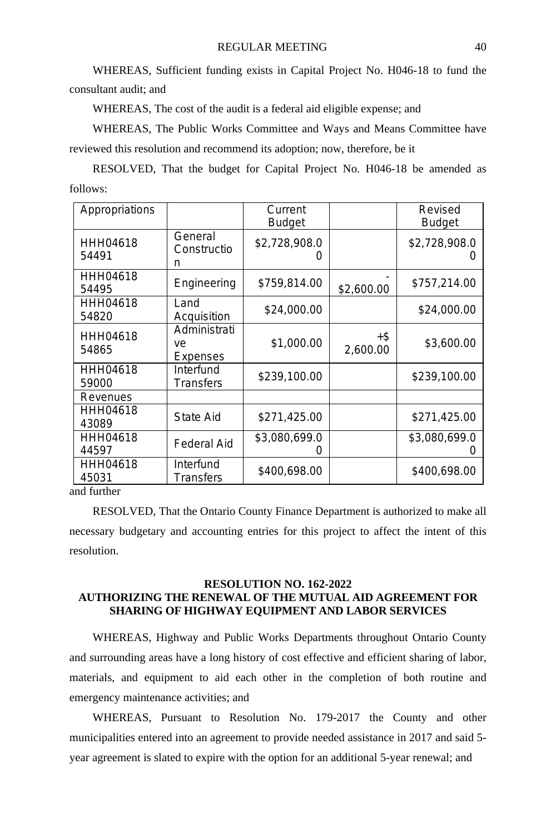WHEREAS, Sufficient funding exists in Capital Project No. H046-18 to fund the consultant audit; and

WHEREAS, The cost of the audit is a federal aid eligible expense; and

WHEREAS, The Public Works Committee and Ways and Means Committee have reviewed this resolution and recommend its adoption; now, therefore, be it

RESOLVED, That the budget for Capital Project No. H046-18 be amended as follows:

| Appropriations    |                                | Current<br><b>Budget</b>          |                 | Revised<br><b>Budget</b> |
|-------------------|--------------------------------|-----------------------------------|-----------------|--------------------------|
| HHH04618<br>54491 | General<br>Constructio<br>n    | \$2,728,908.0<br>$\left( \right)$ |                 | \$2,728,908.0            |
| HHH04618<br>54495 | Engineering                    | \$759,814.00                      | \$2,600.00      | \$757,214.00             |
| HHH04618<br>54820 | Land<br>Acquisition            | \$24,000.00                       |                 | \$24,000.00              |
| HHH04618<br>54865 | Administrati<br>ve<br>Expenses | \$1,000.00                        | +\$<br>2,600.00 | \$3,600.00               |
| HHH04618<br>59000 | Interfund<br>Transfers         | \$239,100.00                      |                 | \$239,100.00             |
| Revenues          |                                |                                   |                 |                          |
| HHH04618<br>43089 | State Aid                      | \$271,425.00                      |                 | \$271,425.00             |
| HHH04618<br>44597 | Federal Aid                    | \$3,080,699.0                     |                 | \$3,080,699.0            |
| HHH04618<br>45031 | Interfund<br>Transfers         | \$400,698.00                      |                 | \$400,698.00             |

and further

RESOLVED, That the Ontario County Finance Department is authorized to make all necessary budgetary and accounting entries for this project to affect the intent of this resolution.

# **RESOLUTION NO. 162-2022 AUTHORIZING THE RENEWAL OF THE MUTUAL AID AGREEMENT FOR SHARING OF HIGHWAY EQUIPMENT AND LABOR SERVICES**

WHEREAS, Highway and Public Works Departments throughout Ontario County and surrounding areas have a long history of cost effective and efficient sharing of labor, materials, and equipment to aid each other in the completion of both routine and emergency maintenance activities; and

WHEREAS, Pursuant to Resolution No. 179-2017 the County and other municipalities entered into an agreement to provide needed assistance in 2017 and said 5 year agreement is slated to expire with the option for an additional 5-year renewal; and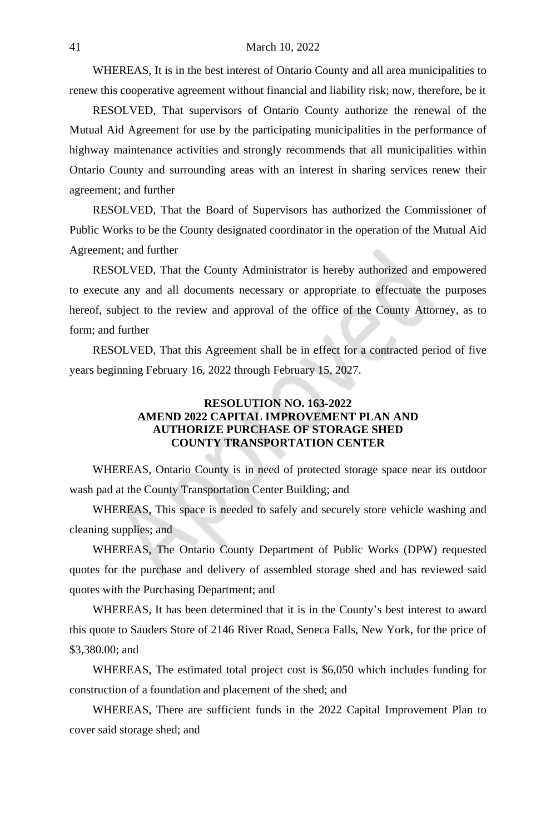#### 41 March 10, 2022

WHEREAS, It is in the best interest of Ontario County and all area municipalities to renew this cooperative agreement without financial and liability risk; now, therefore, be it

RESOLVED, That supervisors of Ontario County authorize the renewal of the Mutual Aid Agreement for use by the participating municipalities in the performance of highway maintenance activities and strongly recommends that all municipalities within Ontario County and surrounding areas with an interest in sharing services renew their agreement; and further

RESOLVED, That the Board of Supervisors has authorized the Commissioner of Public Works to be the County designated coordinator in the operation of the Mutual Aid Agreement; and further

RESOLVED, That the County Administrator is hereby authorized and empowered to execute any and all documents necessary or appropriate to effectuate the purposes hereof, subject to the review and approval of the office of the County Attorney, as to form; and further

RESOLVED, That this Agreement shall be in effect for a contracted period of five years beginning February 16, 2022 through February 15, 2027.

## **RESOLUTION NO. 163-2022 AMEND 2022 CAPITAL IMPROVEMENT PLAN AND AUTHORIZE PURCHASE OF STORAGE SHED COUNTY TRANSPORTATION CENTER**

WHEREAS, Ontario County is in need of protected storage space near its outdoor wash pad at the County Transportation Center Building; and

WHEREAS, This space is needed to safely and securely store vehicle washing and cleaning supplies; and

WHEREAS, The Ontario County Department of Public Works (DPW) requested quotes for the purchase and delivery of assembled storage shed and has reviewed said quotes with the Purchasing Department; and

WHEREAS, It has been determined that it is in the County's best interest to award this quote to Sauders Store of 2146 River Road, Seneca Falls, New York, for the price of \$3,380.00; and

WHEREAS, The estimated total project cost is \$6,050 which includes funding for construction of a foundation and placement of the shed; and

WHEREAS, There are sufficient funds in the 2022 Capital Improvement Plan to cover said storage shed; and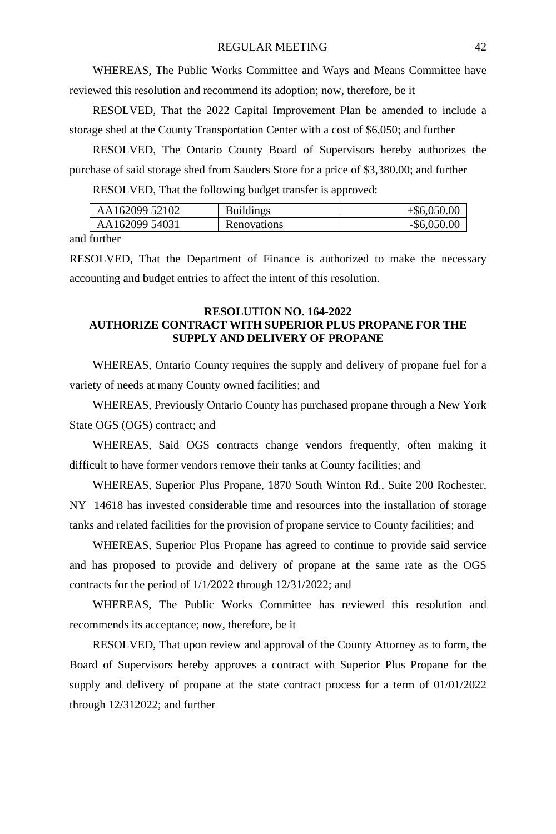WHEREAS, The Public Works Committee and Ways and Means Committee have reviewed this resolution and recommend its adoption; now, therefore, be it

RESOLVED, That the 2022 Capital Improvement Plan be amended to include a storage shed at the County Transportation Center with a cost of \$6,050; and further

RESOLVED, The Ontario County Board of Supervisors hereby authorizes the purchase of said storage shed from Sauders Store for a price of \$3,380.00; and further

RESOLVED, That the following budget transfer is approved:

| AA162099 52102 | <b>Buildings</b> | $+$ \$6,050.00 |
|----------------|------------------|----------------|
| AA162099 54031 | Renovations      | -\$6,050.00    |

and further

RESOLVED, That the Department of Finance is authorized to make the necessary accounting and budget entries to affect the intent of this resolution.

# **RESOLUTION NO. 164-2022 AUTHORIZE CONTRACT WITH SUPERIOR PLUS PROPANE FOR THE SUPPLY AND DELIVERY OF PROPANE**

WHEREAS, Ontario County requires the supply and delivery of propane fuel for a variety of needs at many County owned facilities; and

WHEREAS, Previously Ontario County has purchased propane through a New York State OGS (OGS) contract; and

WHEREAS, Said OGS contracts change vendors frequently, often making it difficult to have former vendors remove their tanks at County facilities; and

WHEREAS, Superior Plus Propane, 1870 South Winton Rd., Suite 200 Rochester, NY 14618 has invested considerable time and resources into the installation of storage tanks and related facilities for the provision of propane service to County facilities; and

WHEREAS, Superior Plus Propane has agreed to continue to provide said service and has proposed to provide and delivery of propane at the same rate as the OGS contracts for the period of 1/1/2022 through 12/31/2022; and

WHEREAS, The Public Works Committee has reviewed this resolution and recommends its acceptance; now, therefore, be it

RESOLVED, That upon review and approval of the County Attorney as to form, the Board of Supervisors hereby approves a contract with Superior Plus Propane for the supply and delivery of propane at the state contract process for a term of 01/01/2022 through 12/312022; and further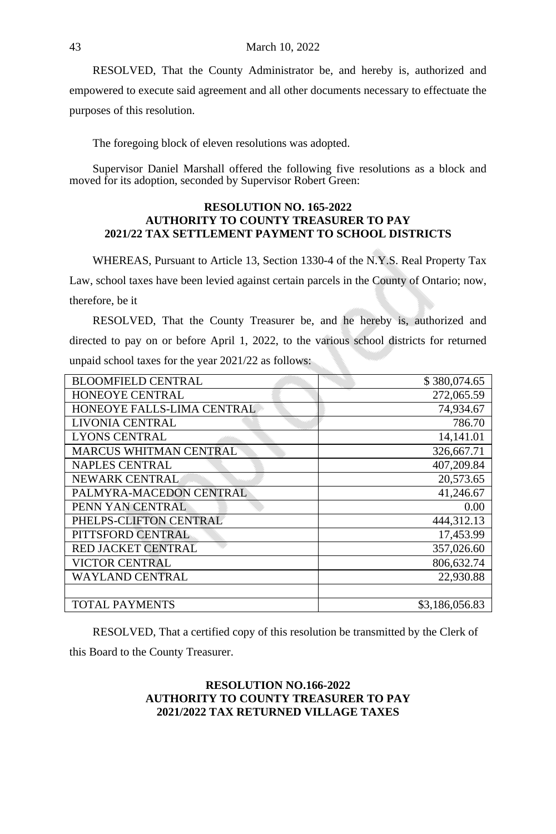RESOLVED, That the County Administrator be, and hereby is, authorized and empowered to execute said agreement and all other documents necessary to effectuate the purposes of this resolution.

The foregoing block of eleven resolutions was adopted.

Supervisor Daniel Marshall offered the following five resolutions as a block and moved for its adoption, seconded by Supervisor Robert Green:

#### **RESOLUTION NO. 165-2022 AUTHORITY TO COUNTY TREASURER TO PAY 2021/22 TAX SETTLEMENT PAYMENT TO SCHOOL DISTRICTS**

WHEREAS, Pursuant to Article 13, Section 1330-4 of the N.Y.S. Real Property Tax Law, school taxes have been levied against certain parcels in the County of Ontario; now, therefore, be it

RESOLVED, That the County Treasurer be, and he hereby is, authorized and directed to pay on or before April 1, 2022, to the various school districts for returned unpaid school taxes for the year 2021/22 as follows:

| <b>BLOOMFIELD CENTRAL</b>     | \$380,074.65   |
|-------------------------------|----------------|
| <b>HONEOYE CENTRAL</b>        | 272,065.59     |
| HONEOYE FALLS-LIMA CENTRAL    | 74,934.67      |
| LIVONIA CENTRAL               | 786.70         |
| LYONS CENTRAL                 | 14,141.01      |
| <b>MARCUS WHITMAN CENTRAL</b> | 326,667.71     |
| <b>NAPLES CENTRAL</b>         | 407,209.84     |
| <b>NEWARK CENTRAL</b>         | 20,573.65      |
| PALMYRA-MACEDON CENTRAL       | 41,246.67      |
| PENN YAN CENTRAL              | 0.00           |
| PHELPS-CLIFTON CENTRAL        | 444,312.13     |
| PITTSFORD CENTRAL             | 17,453.99      |
| <b>RED JACKET CENTRAL</b>     | 357,026.60     |
| <b>VICTOR CENTRAL</b>         | 806,632.74     |
| WAYLAND CENTRAL               | 22,930.88      |
|                               |                |
| <b>TOTAL PAYMENTS</b>         | \$3,186,056.83 |

RESOLVED, That a certified copy of this resolution be transmitted by the Clerk of this Board to the County Treasurer.

# **RESOLUTION NO.166-2022 AUTHORITY TO COUNTY TREASURER TO PAY 2021/2022 TAX RETURNED VILLAGE TAXES**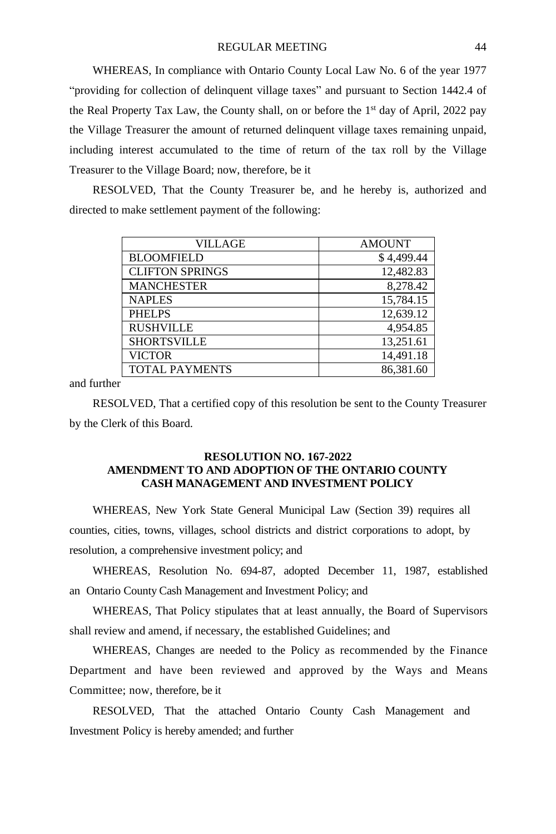WHEREAS, In compliance with Ontario County Local Law No. 6 of the year 1977 "providing for collection of delinquent village taxes" and pursuant to Section 1442.4 of the Real Property Tax Law, the County shall, on or before the 1<sup>st</sup> day of April, 2022 pay the Village Treasurer the amount of returned delinquent village taxes remaining unpaid, including interest accumulated to the time of return of the tax roll by the Village Treasurer to the Village Board; now, therefore, be it

RESOLVED, That the County Treasurer be, and he hereby is, authorized and directed to make settlement payment of the following:

| VILLAGE                | <b>AMOUNT</b> |
|------------------------|---------------|
| <b>BLOOMFIELD</b>      | \$4,499.44    |
| <b>CLIFTON SPRINGS</b> | 12,482.83     |
| <b>MANCHESTER</b>      | 8,278.42      |
| <b>NAPLES</b>          | 15,784.15     |
| <b>PHELPS</b>          | 12,639.12     |
| <b>RUSHVILLE</b>       | 4,954.85      |
| <b>SHORTSVILLE</b>     | 13,251.61     |
| <b>VICTOR</b>          | 14,491.18     |
| <b>TOTAL PAYMENTS</b>  | 86,381.60     |

and further

RESOLVED, That a certified copy of this resolution be sent to the County Treasurer by the Clerk of this Board.

# **RESOLUTION NO. 167-2022 AMENDMENT TO AND ADOPTION OF THE ONTARIO COUNTY CASH MANAGEMENT AND INVESTMENT POLICY**

WHEREAS, New York State General Municipal Law (Section 39) requires all counties, cities, towns, villages, school districts and district corporations to adopt, by resolution, a comprehensive investment policy; and

WHEREAS, Resolution No. 694-87, adopted December 11, 1987, established an Ontario County Cash Management and Investment Policy; and

WHEREAS, That Policy stipulates that at least annually, the Board of Supervisors shall review and amend, if necessary, the established Guidelines; and

WHEREAS, Changes are needed to the Policy as recommended by the Finance Department and have been reviewed and approved by the Ways and Means Committee; now, therefore, be it

RESOLVED, That the attached Ontario County Cash Management and Investment Policy is hereby amended; and further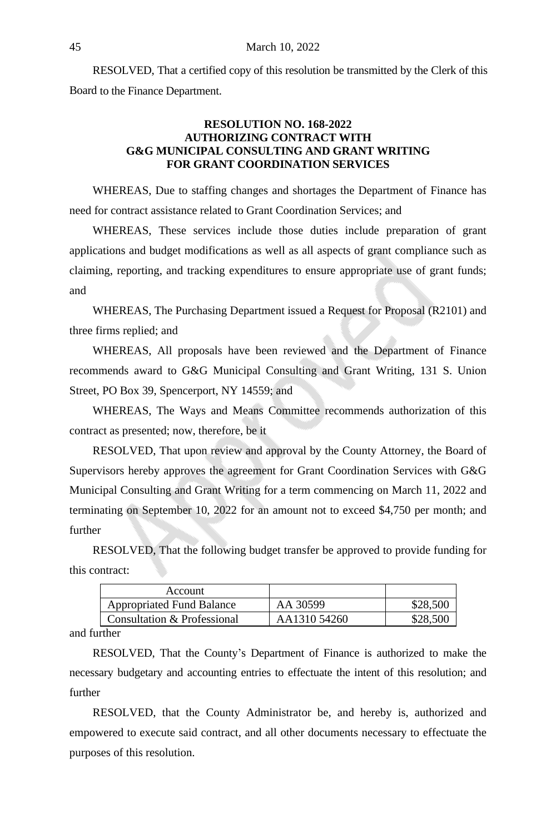RESOLVED, That a certified copy of this resolution be transmitted by the Clerk of this Board to the Finance Department.

# **RESOLUTION NO. 168-2022 AUTHORIZING CONTRACT WITH G&G MUNICIPAL CONSULTING AND GRANT WRITING FOR GRANT COORDINATION SERVICES**

WHEREAS, Due to staffing changes and shortages the Department of Finance has need for contract assistance related to Grant Coordination Services; and

WHEREAS, These services include those duties include preparation of grant applications and budget modifications as well as all aspects of grant compliance such as claiming, reporting, and tracking expenditures to ensure appropriate use of grant funds; and

WHEREAS, The Purchasing Department issued a Request for Proposal (R2101) and three firms replied; and

WHEREAS, All proposals have been reviewed and the Department of Finance recommends award to G&G Municipal Consulting and Grant Writing, 131 S. Union Street, PO Box 39, Spencerport, NY 14559; and

WHEREAS, The Ways and Means Committee recommends authorization of this contract as presented; now, therefore, be it

RESOLVED, That upon review and approval by the County Attorney, the Board of Supervisors hereby approves the agreement for Grant Coordination Services with G&G Municipal Consulting and Grant Writing for a term commencing on March 11, 2022 and terminating on September 10, 2022 for an amount not to exceed \$4,750 per month; and further

RESOLVED, That the following budget transfer be approved to provide funding for this contract:

| Account                          |              |          |
|----------------------------------|--------------|----------|
| <b>Appropriated Fund Balance</b> | AA 30599     | \$28,500 |
| Consultation & Professional      | AA1310 54260 | \$28,500 |

and further

RESOLVED, That the County's Department of Finance is authorized to make the necessary budgetary and accounting entries to effectuate the intent of this resolution; and further

RESOLVED, that the County Administrator be, and hereby is, authorized and empowered to execute said contract, and all other documents necessary to effectuate the purposes of this resolution.